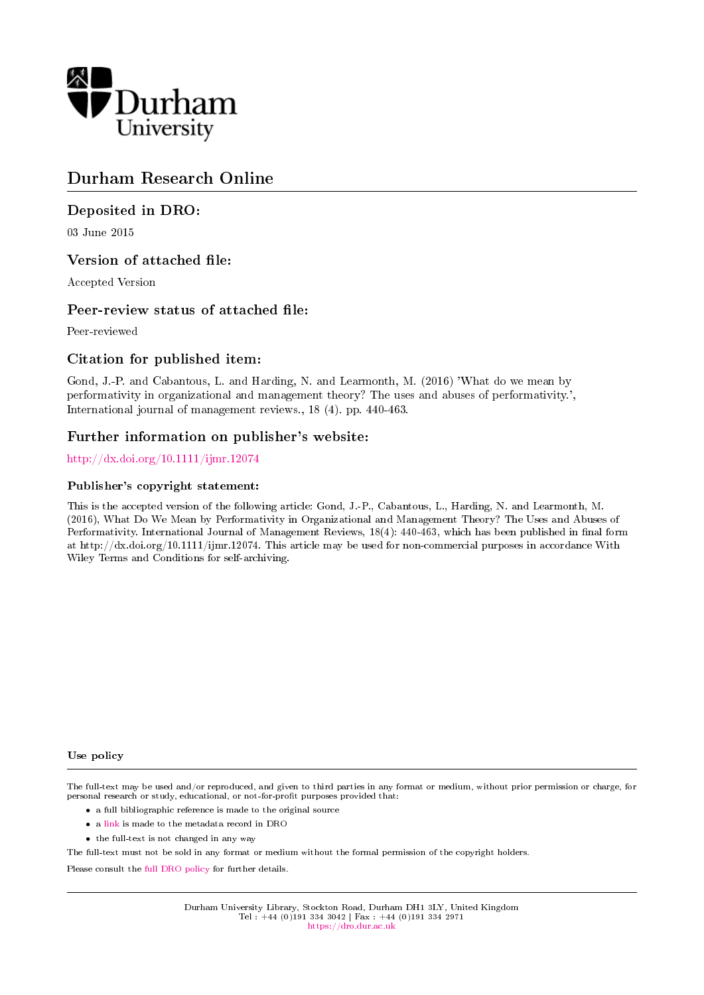

### Durham Research Online

#### Deposited in DRO:

03 June 2015

#### Version of attached file:

Accepted Version

#### Peer-review status of attached file:

Peer-reviewed

#### Citation for published item:

Gond, J.-P. and Cabantous, L. and Harding, N. and Learmonth, M. (2016) 'What do we mean by performativity in organizational and management theory? The uses and abuses of performativity.', International journal of management reviews., 18 (4). pp. 440-463.

#### Further information on publisher's website:

<http://dx.doi.org/10.1111/ijmr.12074>

#### Publisher's copyright statement:

This is the accepted version of the following article: Gond, J.-P., Cabantous, L., Harding, N. and Learmonth, M. (2016), What Do We Mean by Performativity in Organizational and Management Theory? The Uses and Abuses of Performativity. International Journal of Management Reviews, 18(4): 440-463, which has been published in final form at http://dx.doi.org/10.1111/ijmr.12074. This article may be used for non-commercial purposes in accordance With Wiley Terms and Conditions for self-archiving.

#### Use policy

The full-text may be used and/or reproduced, and given to third parties in any format or medium, without prior permission or charge, for personal research or study, educational, or not-for-profit purposes provided that:

- a full bibliographic reference is made to the original source
- a [link](http://dro.dur.ac.uk/15626/) is made to the metadata record in DRO
- the full-text is not changed in any way

The full-text must not be sold in any format or medium without the formal permission of the copyright holders.

Please consult the [full DRO policy](https://dro.dur.ac.uk/policies/usepolicy.pdf) for further details.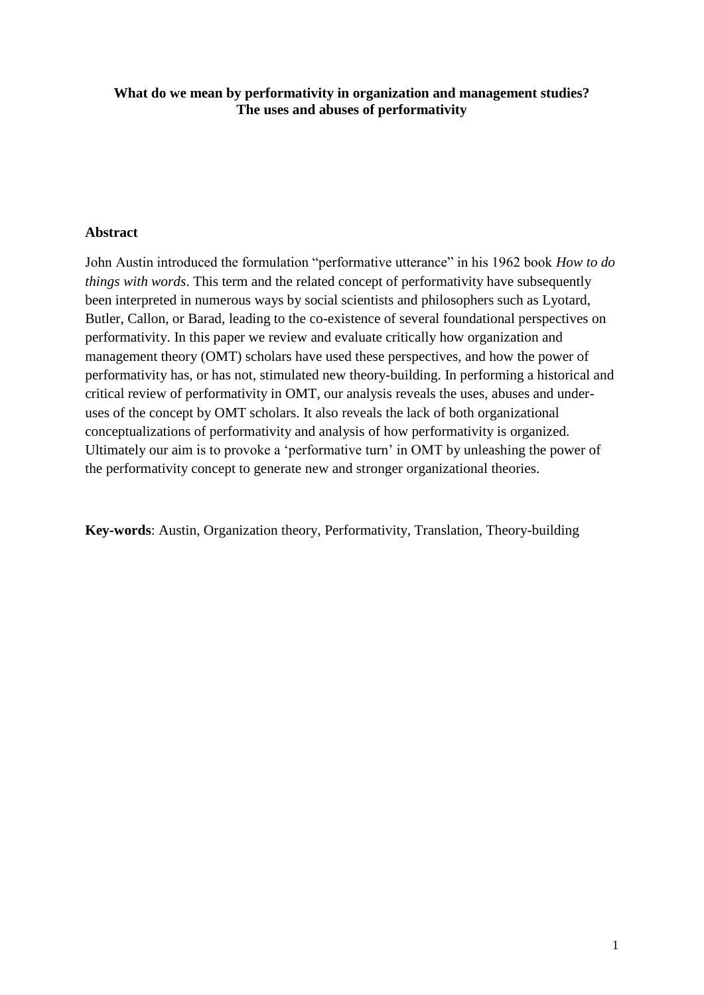#### **What do we mean by performativity in organization and management studies? The uses and abuses of performativity**

#### **Abstract**

John Austin introduced the formulation "performative utterance" in his 1962 book *How to do things with words*. This term and the related concept of performativity have subsequently been interpreted in numerous ways by social scientists and philosophers such as Lyotard, Butler, Callon, or Barad, leading to the co-existence of several foundational perspectives on performativity. In this paper we review and evaluate critically how organization and management theory (OMT) scholars have used these perspectives, and how the power of performativity has, or has not, stimulated new theory-building. In performing a historical and critical review of performativity in OMT, our analysis reveals the uses, abuses and underuses of the concept by OMT scholars. It also reveals the lack of both organizational conceptualizations of performativity and analysis of how performativity is organized. Ultimately our aim is to provoke a 'performative turn' in OMT by unleashing the power of the performativity concept to generate new and stronger organizational theories.

**Key-words**: Austin, Organization theory, Performativity, Translation, Theory-building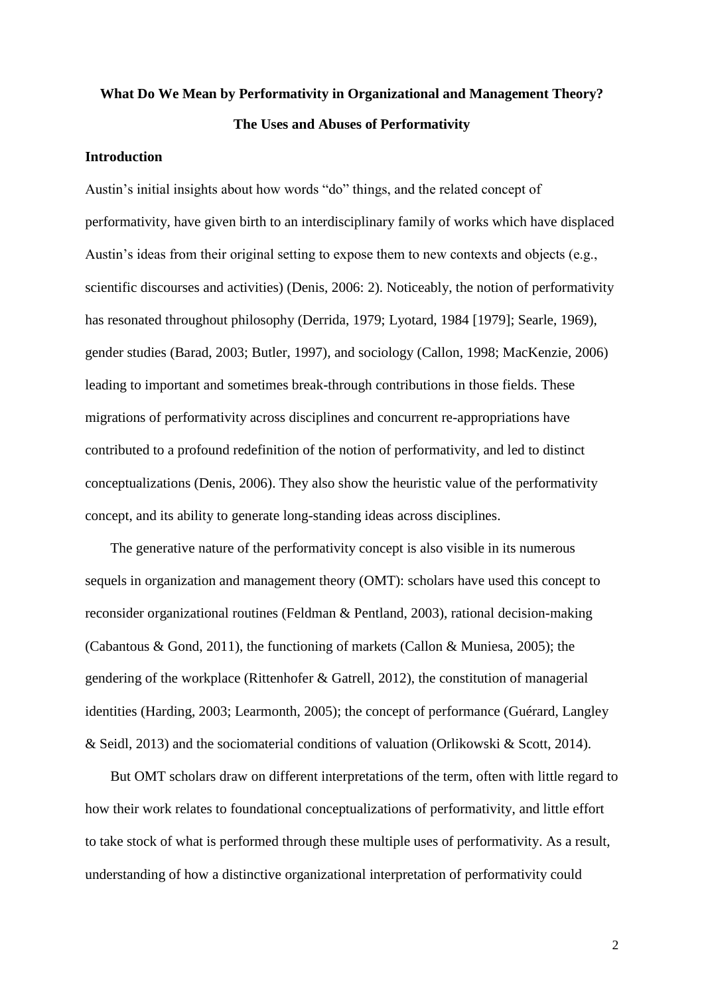# **What Do We Mean by Performativity in Organizational and Management Theory? The Uses and Abuses of Performativity**

#### **Introduction**

Austin's initial insights about how words "do" things, and the related concept of performativity, have given birth to an interdisciplinary family of works which have displaced Austin's ideas from their original setting to expose them to new contexts and objects (e.g., scientific discourses and activities) (Denis, 2006: 2). Noticeably, the notion of performativity has resonated throughout philosophy (Derrida, 1979; Lyotard, 1984 [1979]; Searle, 1969), gender studies (Barad, 2003; Butler, 1997), and sociology (Callon, 1998; MacKenzie, 2006) leading to important and sometimes break-through contributions in those fields. These migrations of performativity across disciplines and concurrent re-appropriations have contributed to a profound redefinition of the notion of performativity, and led to distinct conceptualizations (Denis, 2006). They also show the heuristic value of the performativity concept, and its ability to generate long-standing ideas across disciplines.

The generative nature of the performativity concept is also visible in its numerous sequels in organization and management theory (OMT): scholars have used this concept to reconsider organizational routines (Feldman & Pentland, 2003), rational decision-making (Cabantous & Gond, 2011), the functioning of markets (Callon & Muniesa, 2005); the gendering of the workplace (Rittenhofer & Gatrell, 2012), the constitution of managerial identities (Harding, 2003; Learmonth, 2005); the concept of performance (Guérard, Langley & Seidl, 2013) and the sociomaterial conditions of valuation (Orlikowski & Scott, 2014).

But OMT scholars draw on different interpretations of the term, often with little regard to how their work relates to foundational conceptualizations of performativity, and little effort to take stock of what is performed through these multiple uses of performativity. As a result, understanding of how a distinctive organizational interpretation of performativity could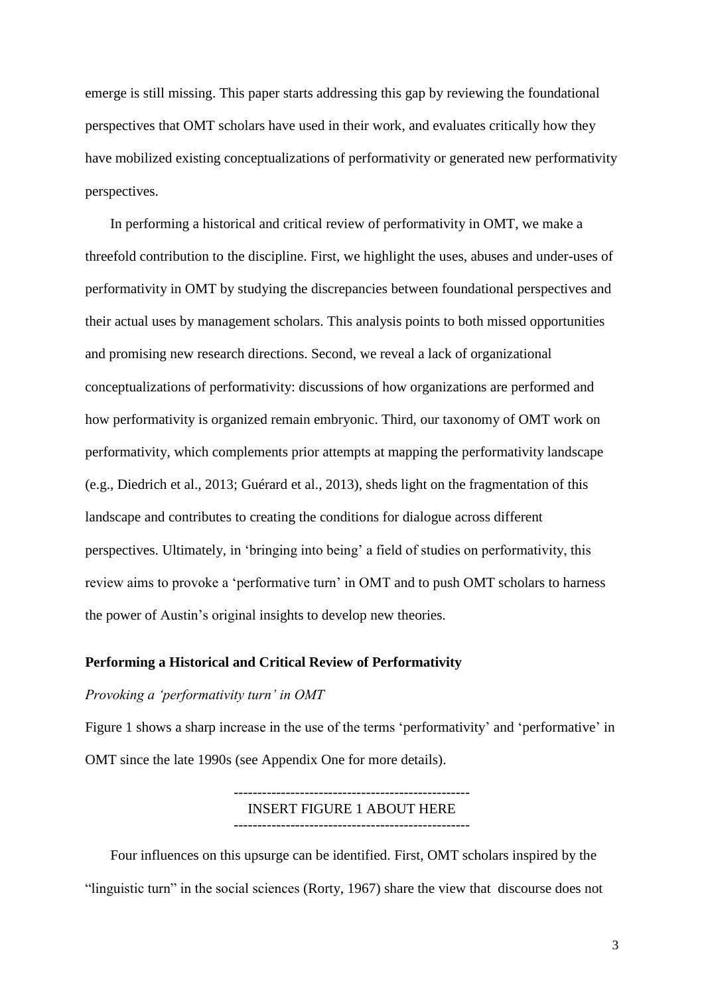emerge is still missing. This paper starts addressing this gap by reviewing the foundational perspectives that OMT scholars have used in their work, and evaluates critically how they have mobilized existing conceptualizations of performativity or generated new performativity perspectives.

In performing a historical and critical review of performativity in OMT, we make a threefold contribution to the discipline. First, we highlight the uses, abuses and under-uses of performativity in OMT by studying the discrepancies between foundational perspectives and their actual uses by management scholars. This analysis points to both missed opportunities and promising new research directions. Second, we reveal a lack of organizational conceptualizations of performativity: discussions of how organizations are performed and how performativity is organized remain embryonic. Third, our taxonomy of OMT work on performativity, which complements prior attempts at mapping the performativity landscape (e.g., Diedrich et al., 2013; Guérard et al., 2013), sheds light on the fragmentation of this landscape and contributes to creating the conditions for dialogue across different perspectives. Ultimately, in 'bringing into being' a field of studies on performativity, this review aims to provoke a 'performative turn' in OMT and to push OMT scholars to harness the power of Austin's original insights to develop new theories.

#### **Performing a Historical and Critical Review of Performativity**

#### *Provoking a 'performativity turn' in OMT*

Figure 1 shows a sharp increase in the use of the terms 'performativity' and 'performative' in OMT since the late 1990s (see Appendix One for more details).

#### -------------------------------------------------- INSERT FIGURE 1 ABOUT HERE --------------------------------------------------

Four influences on this upsurge can be identified. First, OMT scholars inspired by the "linguistic turn" in the social sciences (Rorty, 1967) share the view that discourse does not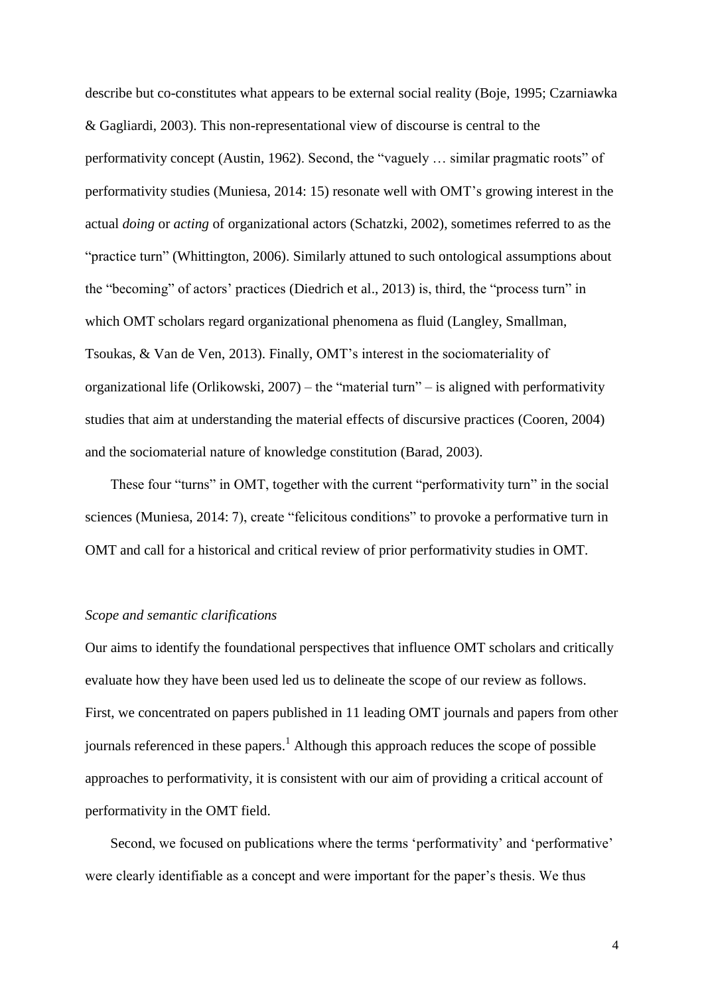describe but co-constitutes what appears to be external social reality (Boje, 1995; Czarniawka & Gagliardi, 2003). This non-representational view of discourse is central to the performativity concept (Austin, 1962). Second, the "vaguely … similar pragmatic roots" of performativity studies (Muniesa, 2014: 15) resonate well with OMT's growing interest in the actual *doing* or *acting* of organizational actors (Schatzki, 2002), sometimes referred to as the "practice turn" (Whittington, 2006). Similarly attuned to such ontological assumptions about the "becoming" of actors' practices (Diedrich et al., 2013) is, third, the "process turn" in which OMT scholars regard organizational phenomena as fluid (Langley, Smallman, Tsoukas, & Van de Ven, 2013). Finally, OMT's interest in the sociomateriality of organizational life (Orlikowski, 2007) – the "material turn" – is aligned with performativity studies that aim at understanding the material effects of discursive practices (Cooren, 2004) and the sociomaterial nature of knowledge constitution (Barad, 2003).

These four "turns" in OMT, together with the current "performativity turn" in the social sciences (Muniesa, 2014: 7), create "felicitous conditions" to provoke a performative turn in OMT and call for a historical and critical review of prior performativity studies in OMT.

#### *Scope and semantic clarifications*

Our aims to identify the foundational perspectives that influence OMT scholars and critically evaluate how they have been used led us to delineate the scope of our review as follows. First, we concentrated on papers published in 11 leading OMT journals and papers from other journals referenced in these papers.<sup>1</sup> Although this approach reduces the scope of possible approaches to performativity, it is consistent with our aim of providing a critical account of performativity in the OMT field.

Second, we focused on publications where the terms 'performativity' and 'performative' were clearly identifiable as a concept and were important for the paper's thesis. We thus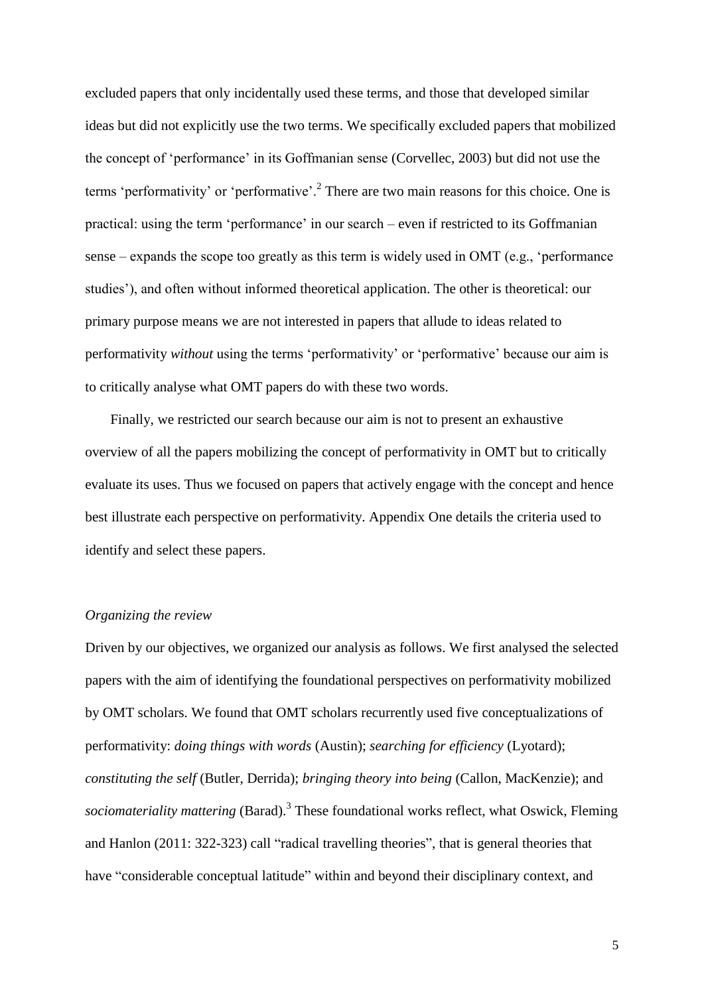excluded papers that only incidentally used these terms, and those that developed similar ideas but did not explicitly use the two terms. We specifically excluded papers that mobilized the concept of 'performance' in its Goffmanian sense (Corvellec, 2003) but did not use the terms 'performativity' or 'performative'.<sup>2</sup> There are two main reasons for this choice. One is practical: using the term 'performance' in our search – even if restricted to its Goffmanian sense – expands the scope too greatly as this term is widely used in OMT (e.g., 'performance studies'), and often without informed theoretical application. The other is theoretical: our primary purpose means we are not interested in papers that allude to ideas related to performativity *without* using the terms 'performativity' or 'performative' because our aim is to critically analyse what OMT papers do with these two words.

Finally, we restricted our search because our aim is not to present an exhaustive overview of all the papers mobilizing the concept of performativity in OMT but to critically evaluate its uses. Thus we focused on papers that actively engage with the concept and hence best illustrate each perspective on performativity. Appendix One details the criteria used to identify and select these papers.

#### *Organizing the review*

Driven by our objectives, we organized our analysis as follows. We first analysed the selected papers with the aim of identifying the foundational perspectives on performativity mobilized by OMT scholars. We found that OMT scholars recurrently used five conceptualizations of performativity: *doing things with words* (Austin); *searching for efficiency* (Lyotard); *constituting the self* (Butler, Derrida); *bringing theory into being* (Callon, MacKenzie); and sociomateriality mattering (Barad).<sup>3</sup> These foundational works reflect, what Oswick, Fleming and Hanlon (2011: 322-323) call "radical travelling theories", that is general theories that have "considerable conceptual latitude" within and beyond their disciplinary context, and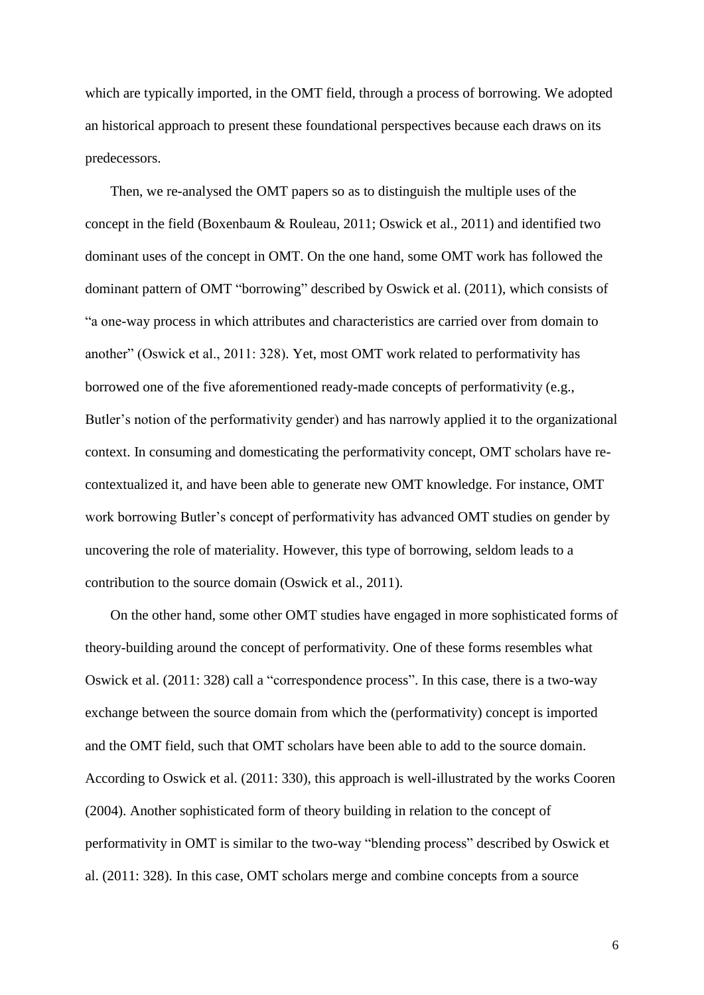which are typically imported, in the OMT field, through a process of borrowing. We adopted an historical approach to present these foundational perspectives because each draws on its predecessors.

Then, we re-analysed the OMT papers so as to distinguish the multiple uses of the concept in the field (Boxenbaum & Rouleau, 2011; Oswick et al., 2011) and identified two dominant uses of the concept in OMT. On the one hand, some OMT work has followed the dominant pattern of OMT "borrowing" described by Oswick et al. (2011), which consists of "a one-way process in which attributes and characteristics are carried over from domain to another" (Oswick et al., 2011: 328). Yet, most OMT work related to performativity has borrowed one of the five aforementioned ready-made concepts of performativity (e.g., Butler's notion of the performativity gender) and has narrowly applied it to the organizational context. In consuming and domesticating the performativity concept, OMT scholars have recontextualized it, and have been able to generate new OMT knowledge. For instance, OMT work borrowing Butler's concept of performativity has advanced OMT studies on gender by uncovering the role of materiality. However, this type of borrowing, seldom leads to a contribution to the source domain (Oswick et al., 2011).

On the other hand, some other OMT studies have engaged in more sophisticated forms of theory-building around the concept of performativity. One of these forms resembles what Oswick et al. (2011: 328) call a "correspondence process". In this case, there is a two-way exchange between the source domain from which the (performativity) concept is imported and the OMT field, such that OMT scholars have been able to add to the source domain. According to Oswick et al. (2011: 330), this approach is well-illustrated by the works Cooren (2004). Another sophisticated form of theory building in relation to the concept of performativity in OMT is similar to the two-way "blending process" described by Oswick et al. (2011: 328). In this case, OMT scholars merge and combine concepts from a source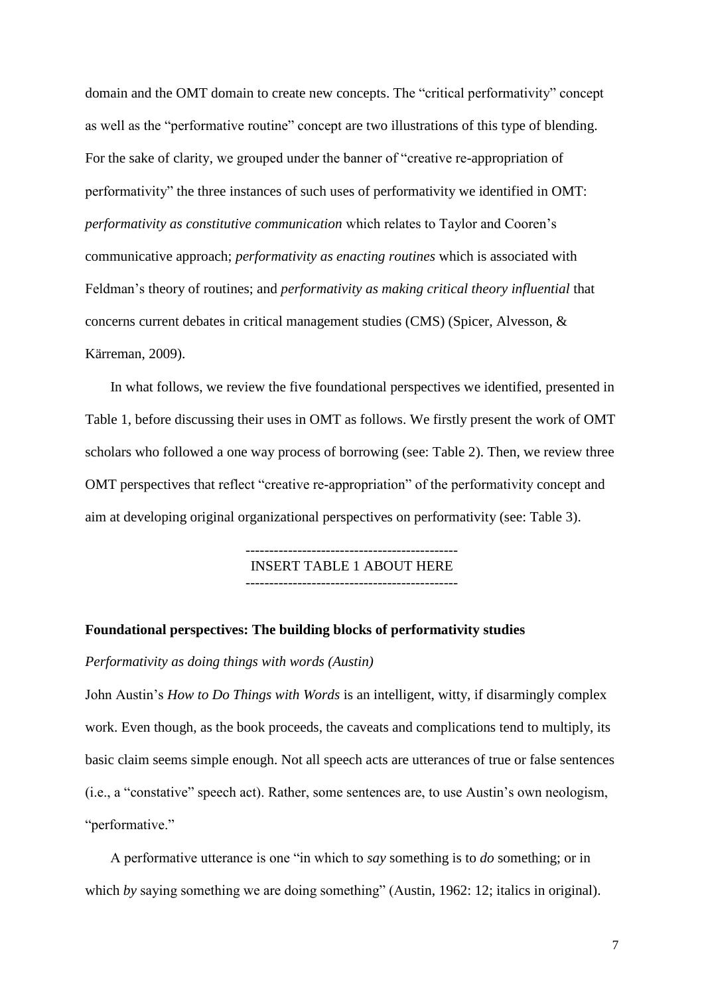domain and the OMT domain to create new concepts. The "critical performativity" concept as well as the "performative routine" concept are two illustrations of this type of blending. For the sake of clarity, we grouped under the banner of "creative re-appropriation of performativity" the three instances of such uses of performativity we identified in OMT: *performativity as constitutive communication* which relates to Taylor and Cooren's communicative approach; *performativity as enacting routines* which is associated with Feldman's theory of routines; and *performativity as making critical theory influential* that concerns current debates in critical management studies (CMS) (Spicer, Alvesson, & Kärreman, 2009).

In what follows, we review the five foundational perspectives we identified, presented in Table 1, before discussing their uses in OMT as follows. We firstly present the work of OMT scholars who followed a one way process of borrowing (see: Table 2). Then, we review three OMT perspectives that reflect "creative re-appropriation" of the performativity concept and aim at developing original organizational perspectives on performativity (see: Table 3).

> --------------------------------------------- INSERT TABLE 1 ABOUT HERE ---------------------------------------------

#### **Foundational perspectives: The building blocks of performativity studies**

#### *Performativity as doing things with words (Austin)*

John Austin's *How to Do Things with Words* is an intelligent, witty, if disarmingly complex work. Even though, as the book proceeds, the caveats and complications tend to multiply, its basic claim seems simple enough. Not all speech acts are utterances of true or false sentences (i.e., a "constative" speech act). Rather, some sentences are, to use Austin's own neologism, "performative."

A performative utterance is one "in which to *say* something is to *do* something; or in which *by* saying something we are doing something" (Austin, 1962: 12; italics in original).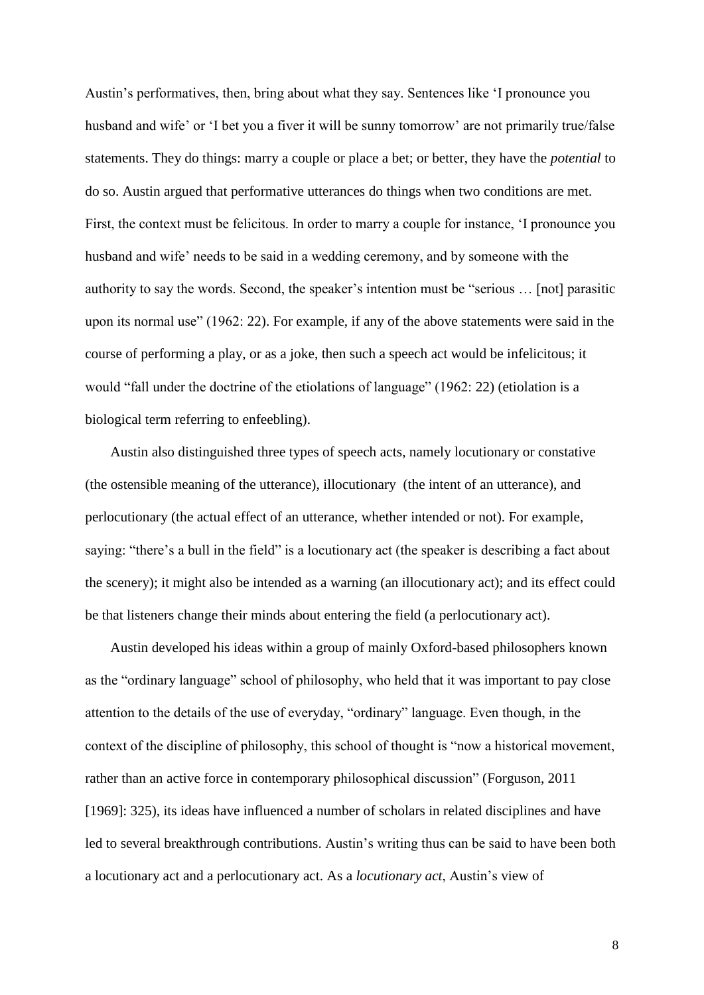Austin's performatives, then, bring about what they say. Sentences like 'I pronounce you husband and wife' or 'I bet you a fiver it will be sunny tomorrow' are not primarily true/false statements. They do things: marry a couple or place a bet; or better, they have the *potential* to do so. Austin argued that performative utterances do things when two conditions are met. First, the context must be felicitous. In order to marry a couple for instance, 'I pronounce you husband and wife' needs to be said in a wedding ceremony, and by someone with the authority to say the words. Second, the speaker's intention must be "serious … [not] parasitic upon its normal use" (1962: 22). For example, if any of the above statements were said in the course of performing a play, or as a joke, then such a speech act would be infelicitous; it would "fall under the doctrine of the etiolations of language" (1962: 22) (etiolation is a biological term referring to enfeebling).

Austin also distinguished three types of speech acts, namely locutionary or constative (the ostensible meaning of the utterance), [illocutionary](http://en.wikipedia.org/wiki/Illocutionary_act) (the intent of an utterance), and perlocutionary (the actual effect of an utterance, whether intended or not). For example, saying: "there's a bull in the field" is a locutionary act (the speaker is describing a fact about the scenery); it might also be intended as a warning (an illocutionary act); and its effect could be that listeners change their minds about entering the field (a perlocutionary act).

Austin developed his ideas within a group of mainly Oxford-based philosophers known as the "ordinary language" school of philosophy, who held that it was important to pay close attention to the details of the use of everyday, "ordinary" language. Even though, in the context of the discipline of philosophy, this school of thought is "now a historical movement, rather than an active force in contemporary philosophical discussion" (Forguson, 2011 [1969]: 325), its ideas have influenced a number of scholars in related disciplines and have led to several breakthrough contributions. Austin's writing thus can be said to have been both a locutionary act and a [perlocutionary act.](http://en.wikipedia.org/wiki/Perlocutionary_act) As a *locutionary act*, Austin's view of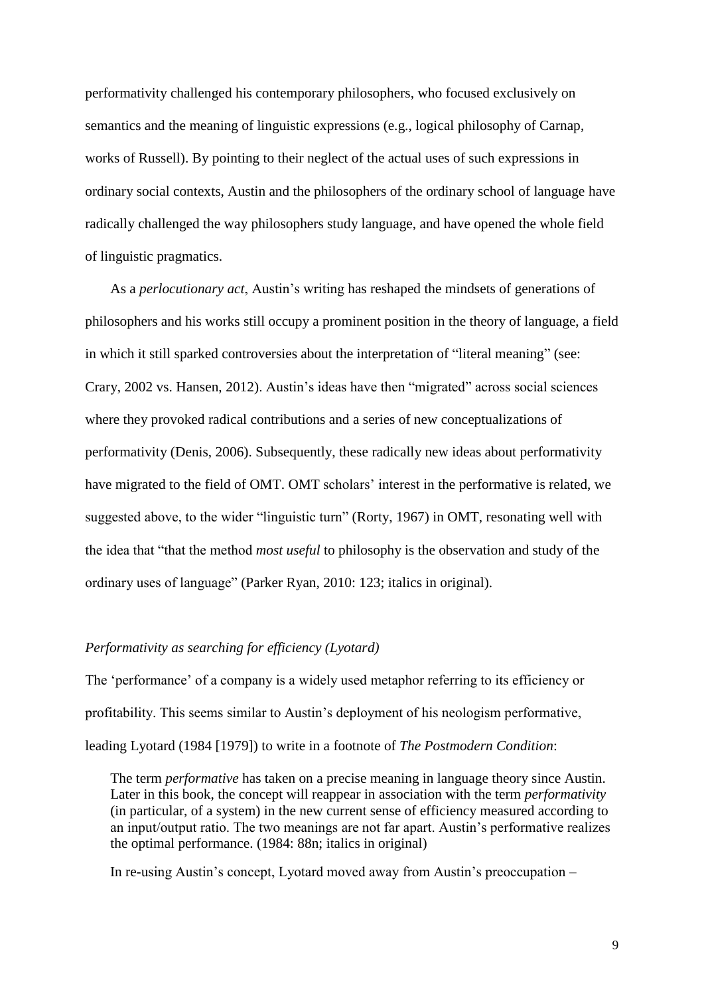performativity challenged his contemporary philosophers, who focused exclusively on semantics and the meaning of linguistic expressions (e.g., logical philosophy of Carnap, works of Russell). By pointing to their neglect of the actual uses of such expressions in ordinary social contexts, Austin and the philosophers of the ordinary school of language have radically challenged the way philosophers study language, and have opened the whole field of linguistic pragmatics.

As a *perlocutionary act*, Austin's writing has reshaped the mindsets of generations of philosophers and his works still occupy a prominent position in the theory of language, a field in which it still sparked controversies about the interpretation of "literal meaning" (see: Crary, 2002 vs. Hansen, 2012). Austin's ideas have then "migrated" across social sciences where they provoked radical contributions and a series of new conceptualizations of performativity (Denis, 2006). Subsequently, these radically new ideas about performativity have migrated to the field of OMT. OMT scholars' interest in the performative is related, we suggested above, to the wider "linguistic turn" (Rorty, 1967) in OMT, resonating well with the idea that "that the method *most useful* to philosophy is the observation and study of the ordinary uses of language" (Parker Ryan, 2010: 123; italics in original).

#### *Performativity as searching for efficiency (Lyotard)*

The 'performance' of a company is a widely used metaphor referring to its efficiency or profitability. This seems similar to Austin's deployment of his neologism performative, leading Lyotard (1984 [1979]) to write in a footnote of *The Postmodern Condition*:

The term *performative* has taken on a precise meaning in language theory since Austin. Later in this book, the concept will reappear in association with the term *performativity* (in particular, of a system) in the new current sense of efficiency measured according to an input/output ratio. The two meanings are not far apart. Austin's performative realizes the optimal performance. (1984: 88n; italics in original)

In re-using Austin's concept, Lyotard moved away from Austin's preoccupation –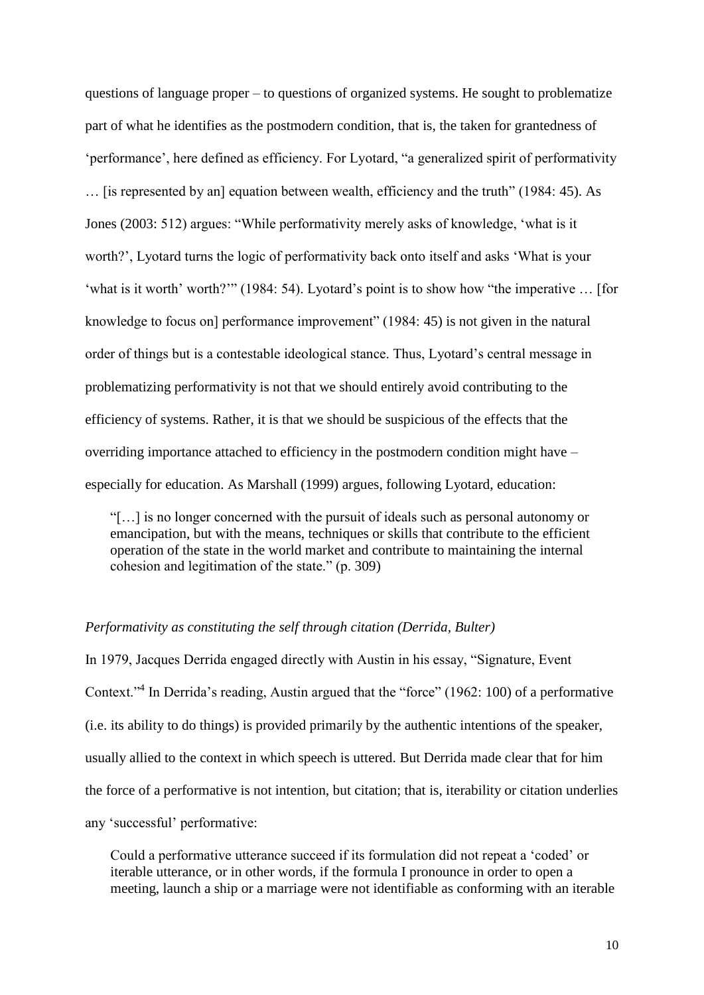questions of language proper – to questions of organized systems. He sought to problematize part of what he identifies as the postmodern condition, that is, the taken for grantedness of 'performance', here defined as efficiency. For Lyotard, "a generalized spirit of performativity … [is represented by an] equation between wealth, efficiency and the truth" (1984: 45). As Jones (2003: 512) argues: "While performativity merely asks of knowledge, 'what is it worth?', Lyotard turns the logic of performativity back onto itself and asks 'What is your 'what is it worth' worth?'" (1984: 54). Lyotard's point is to show how "the imperative ... [for knowledge to focus on] performance improvement" (1984: 45) is not given in the natural order of things but is a contestable ideological stance. Thus, Lyotard's central message in problematizing performativity is not that we should entirely avoid contributing to the efficiency of systems. Rather, it is that we should be suspicious of the effects that the overriding importance attached to efficiency in the postmodern condition might have – especially for education. As Marshall (1999) argues, following Lyotard, education:

"[…] is no longer concerned with the pursuit of ideals such as personal autonomy or emancipation, but with the means, techniques or skills that contribute to the efficient operation of the state in the world market and contribute to maintaining the internal cohesion and legitimation of the state." (p. 309)

#### *Performativity as constituting the self through citation (Derrida, Bulter)*

In 1979, Jacques Derrida engaged directly with Austin in his essay, "Signature, Event Context."<sup>4</sup> In Derrida's reading, Austin argued that the "force" (1962: 100) of a performative (i.e. its ability to do things) is provided primarily by the authentic intentions of the speaker, usually allied to the context in which speech is uttered. But Derrida made clear that for him the force of a performative is not intention, but citation; that is, iterability or citation underlies any 'successful' performative:

Could a performative utterance succeed if its formulation did not repeat a 'coded' or iterable utterance, or in other words, if the formula I pronounce in order to open a meeting, launch a ship or a marriage were not identifiable as conforming with an iterable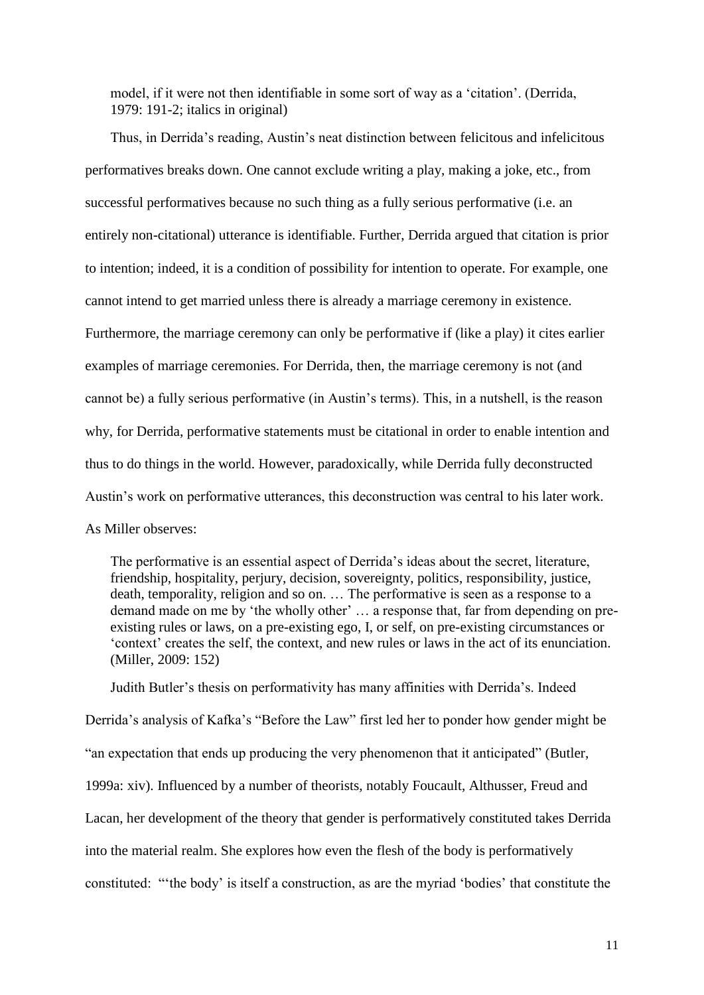model, if it were not then identifiable in some sort of way as a 'citation'. (Derrida, 1979: 191-2; italics in original)

Thus, in Derrida's reading, Austin's neat distinction between felicitous and infelicitous performatives breaks down. One cannot exclude writing a play, making a joke, etc., from successful performatives because no such thing as a fully serious performative (i.e. an entirely non-citational) utterance is identifiable. Further, Derrida argued that citation is prior to intention; indeed, it is a condition of possibility for intention to operate. For example, one cannot intend to get married unless there is already a marriage ceremony in existence. Furthermore, the marriage ceremony can only be performative if (like a play) it cites earlier examples of marriage ceremonies. For Derrida, then, the marriage ceremony is not (and cannot be) a fully serious performative (in Austin's terms). This, in a nutshell, is the reason why, for Derrida, performative statements must be citational in order to enable intention and thus to do things in the world. However, paradoxically, while Derrida fully deconstructed Austin's work on performative utterances, this deconstruction was central to his later work. As Miller observes:

The performative is an essential aspect of Derrida's ideas about the secret, literature, friendship, hospitality, perjury, decision, sovereignty, politics, responsibility, justice, death, temporality, religion and so on. … The performative is seen as a response to a demand made on me by 'the wholly other' … a response that, far from depending on preexisting rules or laws, on a pre-existing ego, I, or self, on pre-existing circumstances or 'context' creates the self, the context, and new rules or laws in the act of its enunciation. (Miller, 2009: 152)

Judith Butler's thesis on performativity has many affinities with Derrida's. Indeed Derrida's analysis of Kafka's "Before the Law" first led her to ponder how gender might be "an expectation that ends up producing the very phenomenon that it anticipated" (Butler, 1999a: xiv). Influenced by a number of theorists, notably Foucault, Althusser, Freud and Lacan, her development of the theory that gender is performatively constituted takes Derrida into the material realm. She explores how even the flesh of the body is performatively constituted: "'the body' is itself a construction, as are the myriad 'bodies' that constitute the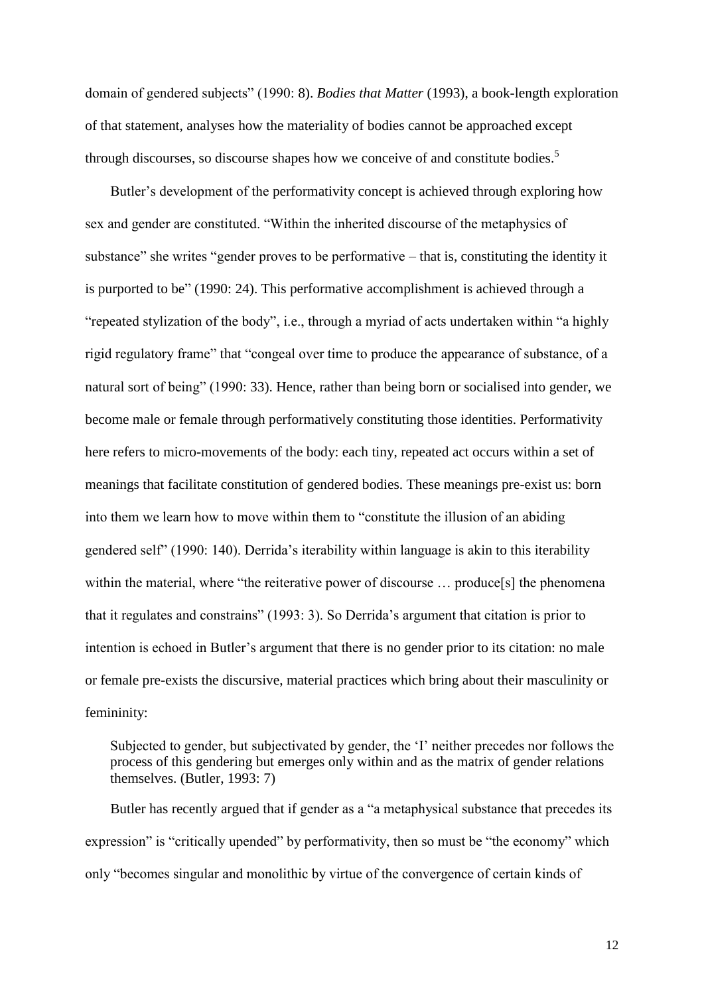domain of gendered subjects" (1990: 8). *Bodies that Matter* (1993), a book-length exploration of that statement, analyses how the materiality of bodies cannot be approached except through discourses, so discourse shapes how we conceive of and constitute bodies.<sup>5</sup>

Butler's development of the performativity concept is achieved through exploring how sex and gender are constituted. "Within the inherited discourse of the metaphysics of substance" she writes "gender proves to be performative – that is, constituting the identity it is purported to be" (1990: 24). This performative accomplishment is achieved through a "repeated stylization of the body", i.e., through a myriad of acts undertaken within "a highly rigid regulatory frame" that "congeal over time to produce the appearance of substance, of a natural sort of being" (1990: 33). Hence, rather than being born or socialised into gender, we become male or female through performatively constituting those identities. Performativity here refers to micro-movements of the body: each tiny, repeated act occurs within a set of meanings that facilitate constitution of gendered bodies. These meanings pre-exist us: born into them we learn how to move within them to "constitute the illusion of an abiding gendered self" (1990: 140). Derrida's iterability within language is akin to this iterability within the material, where "the reiterative power of discourse ... produce[s] the phenomena that it regulates and constrains" (1993: 3). So Derrida's argument that citation is prior to intention is echoed in Butler's argument that there is no gender prior to its citation: no male or female pre-exists the discursive, material practices which bring about their masculinity or femininity:

Subjected to gender, but subjectivated by gender, the 'I' neither precedes nor follows the process of this gendering but emerges only within and as the matrix of gender relations themselves. (Butler, 1993: 7)

Butler has recently argued that if gender as a "a metaphysical substance that precedes its expression" is "critically upended" by performativity, then so must be "the economy" which only "becomes singular and monolithic by virtue of the convergence of certain kinds of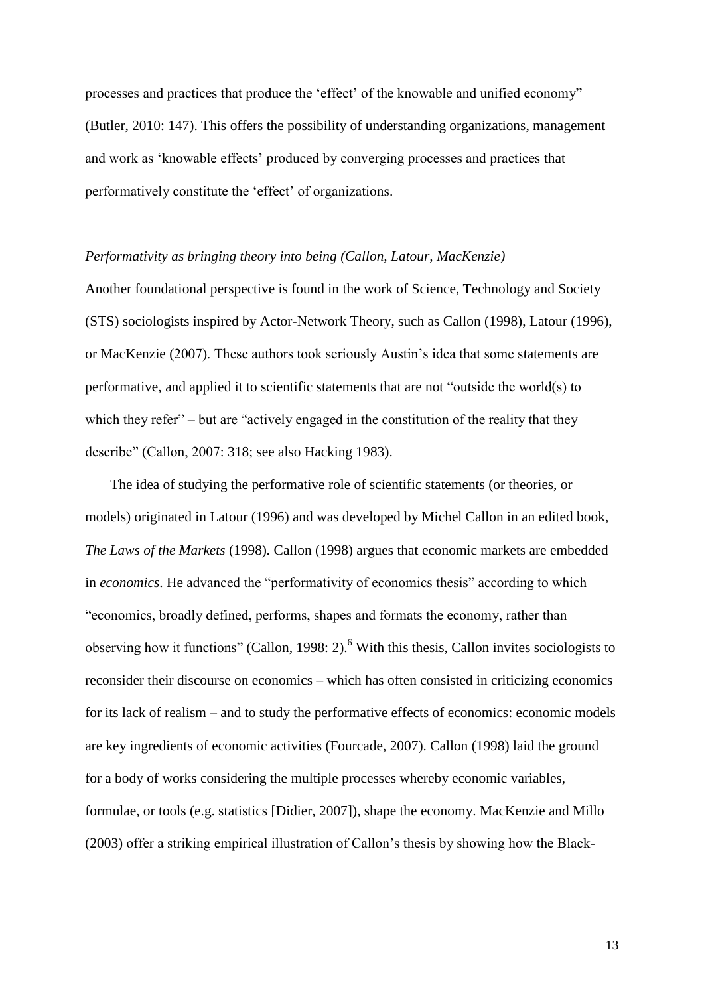processes and practices that produce the 'effect' of the knowable and unified economy" (Butler, 2010: 147). This offers the possibility of understanding organizations, management and work as 'knowable effects' produced by converging processes and practices that performatively constitute the 'effect' of organizations.

#### *Performativity as bringing theory into being (Callon, Latour, MacKenzie)*

Another foundational perspective is found in the work of Science, Technology and Society (STS) sociologists inspired by Actor-Network Theory, such as Callon (1998), Latour (1996), or MacKenzie (2007). These authors took seriously Austin's idea that some statements are performative, and applied it to scientific statements that are not "outside the world(s) to which they refer" – but are "actively engaged in the constitution of the reality that they describe" (Callon, 2007: 318; see also Hacking 1983).

The idea of studying the performative role of scientific statements (or theories, or models) originated in Latour (1996) and was developed by Michel Callon in an edited book, *The Laws of the Markets* (1998)*.* Callon (1998) argues that economic markets are embedded in *economics*. He advanced the "performativity of economics thesis" according to which "economics, broadly defined, performs, shapes and formats the economy, rather than observing how it functions" (Callon, 1998: 2).<sup>6</sup> With this thesis, Callon invites sociologists to reconsider their discourse on economics – which has often consisted in criticizing economics for its lack of realism – and to study the performative effects of economics: economic models are key ingredients of economic activities (Fourcade, 2007). Callon (1998) laid the ground for a body of works considering the multiple processes whereby economic variables, formulae, or tools (e.g. statistics [Didier, 2007]), shape the economy. MacKenzie and Millo (2003) offer a striking empirical illustration of Callon's thesis by showing how the Black-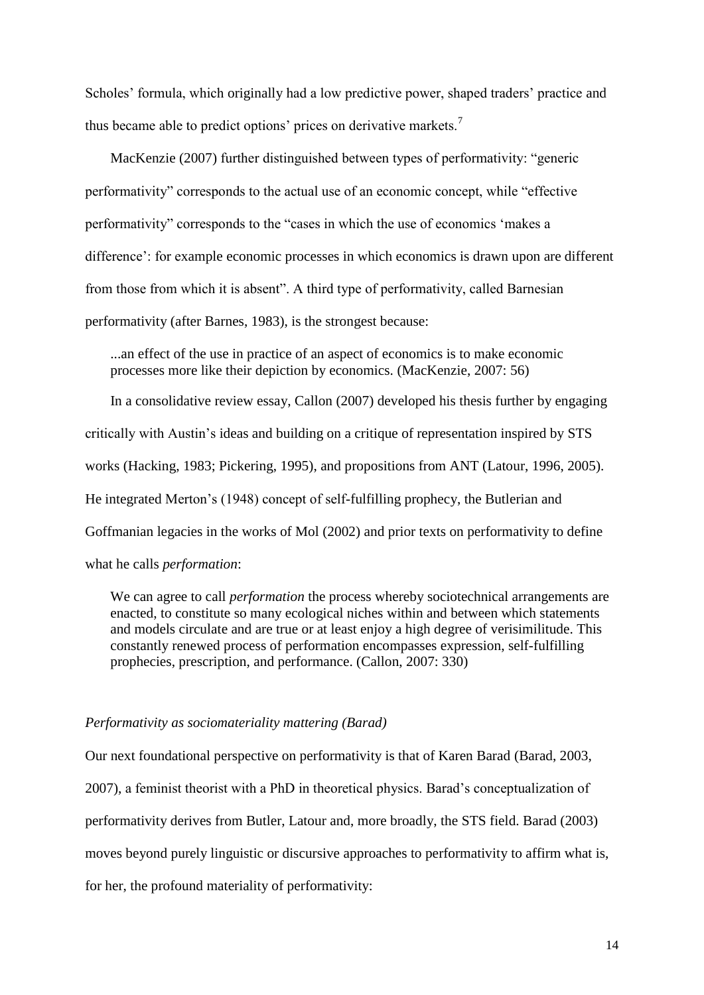Scholes' formula, which originally had a low predictive power, shaped traders' practice and thus became able to predict options' prices on derivative markets.<sup>7</sup>

MacKenzie (2007) further distinguished between types of performativity: "generic performativity" corresponds to the actual use of an economic concept, while "effective performativity" corresponds to the "cases in which the use of economics 'makes a difference': for example economic processes in which economics is drawn upon are different from those from which it is absent". A third type of performativity, called Barnesian performativity (after Barnes, 1983), is the strongest because:

...an effect of the use in practice of an aspect of economics is to make economic processes more like their depiction by economics. (MacKenzie, 2007: 56)

In a consolidative review essay, Callon (2007) developed his thesis further by engaging critically with Austin's ideas and building on a critique of representation inspired by STS works (Hacking, 1983; Pickering, 1995), and propositions from ANT (Latour, 1996, 2005). He integrated Merton's (1948) concept of self-fulfilling prophecy, the Butlerian and Goffmanian legacies in the works of Mol (2002) and prior texts on performativity to define what he calls *performation*:

We can agree to call *performation* the process whereby sociotechnical arrangements are enacted, to constitute so many ecological niches within and between which statements and models circulate and are true or at least enjoy a high degree of verisimilitude. This constantly renewed process of performation encompasses expression, self-fulfilling prophecies, prescription, and performance. (Callon, 2007: 330)

#### *Performativity as sociomateriality mattering (Barad)*

Our next foundational perspective on performativity is that of Karen Barad (Barad, 2003, 2007), a feminist theorist with a PhD in theoretical physics. Barad's conceptualization of performativity derives from Butler, Latour and, more broadly, the STS field. Barad (2003) moves beyond purely linguistic or discursive approaches to performativity to affirm what is, for her, the profound materiality of performativity: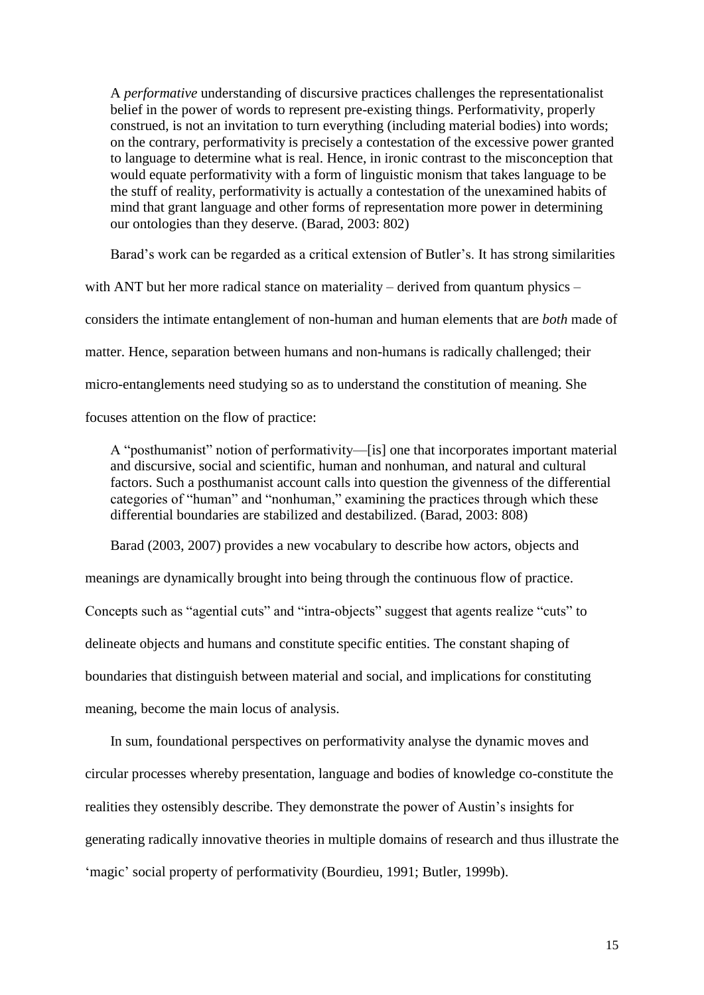A *performative* understanding of discursive practices challenges the representationalist belief in the power of words to represent pre-existing things. Performativity, properly construed, is not an invitation to turn everything (including material bodies) into words; on the contrary, performativity is precisely a contestation of the excessive power granted to language to determine what is real. Hence, in ironic contrast to the misconception that would equate performativity with a form of linguistic monism that takes language to be the stuff of reality, performativity is actually a contestation of the unexamined habits of mind that grant language and other forms of representation more power in determining our ontologies than they deserve. (Barad, 2003: 802)

Barad's work can be regarded as a critical extension of Butler's. It has strong similarities with ANT but her more radical stance on materiality – derived from quantum physics – considers the intimate entanglement of non-human and human elements that are *both* made of matter. Hence, separation between humans and non-humans is radically challenged; their micro-entanglements need studying so as to understand the constitution of meaning. She

focuses attention on the flow of practice:

A "posthumanist" notion of performativity—[is] one that incorporates important material and discursive, social and scientific, human and nonhuman, and natural and cultural factors. Such a posthumanist account calls into question the givenness of the differential categories of "human" and "nonhuman," examining the practices through which these differential boundaries are stabilized and destabilized. (Barad, 2003: 808)

Barad (2003, 2007) provides a new vocabulary to describe how actors, objects and

meanings are dynamically brought into being through the continuous flow of practice.

Concepts such as "agential cuts" and "intra-objects" suggest that agents realize "cuts" to

delineate objects and humans and constitute specific entities. The constant shaping of

boundaries that distinguish between material and social, and implications for constituting

meaning, become the main locus of analysis.

In sum, foundational perspectives on performativity analyse the dynamic moves and circular processes whereby presentation, language and bodies of knowledge co-constitute the realities they ostensibly describe. They demonstrate the power of Austin's insights for generating radically innovative theories in multiple domains of research and thus illustrate the 'magic' social property of performativity (Bourdieu, 1991; Butler, 1999b).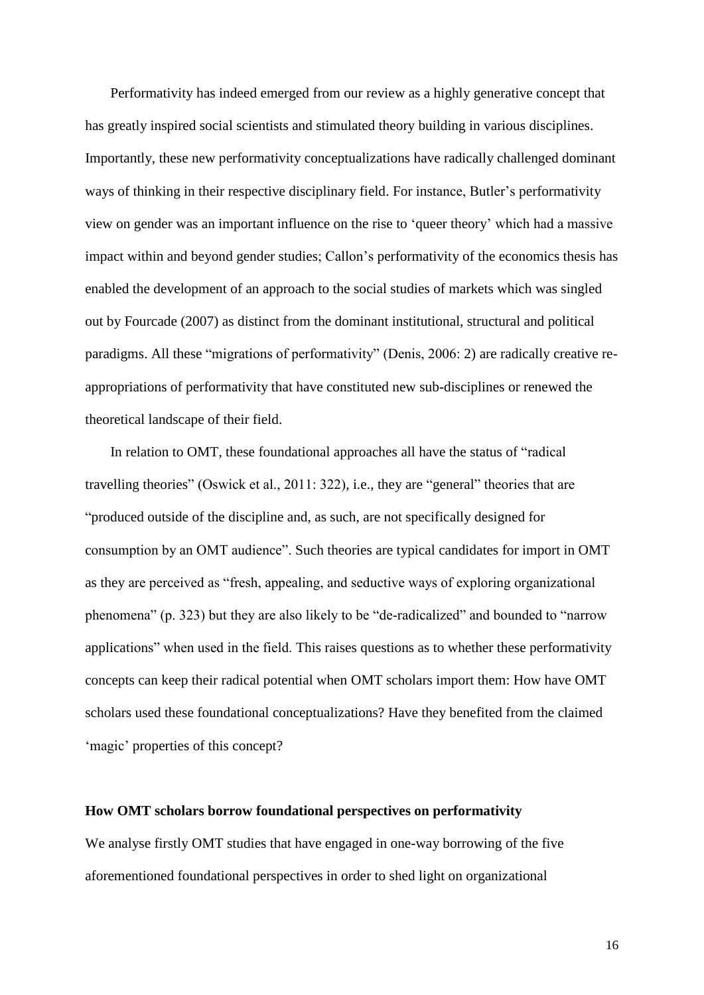Performativity has indeed emerged from our review as a highly generative concept that has greatly inspired social scientists and stimulated theory building in various disciplines. Importantly, these new performativity conceptualizations have radically challenged dominant ways of thinking in their respective disciplinary field. For instance, Butler's performativity view on gender was an important influence on the rise to 'queer theory' which had a massive impact within and beyond gender studies; Callon's performativity of the economics thesis has enabled the development of an approach to the social studies of markets which was singled out by Fourcade (2007) as distinct from the dominant institutional, structural and political paradigms. All these "migrations of performativity" (Denis, 2006: 2) are radically creative reappropriations of performativity that have constituted new sub-disciplines or renewed the theoretical landscape of their field.

In relation to OMT, these foundational approaches all have the status of "radical travelling theories" (Oswick et al., 2011: 322), i.e., they are "general" theories that are "produced outside of the discipline and, as such, are not specifically designed for consumption by an OMT audience". Such theories are typical candidates for import in OMT as they are perceived as "fresh, appealing, and seductive ways of exploring organizational phenomena" (p. 323) but they are also likely to be "de-radicalized" and bounded to "narrow applications" when used in the field. This raises questions as to whether these performativity concepts can keep their radical potential when OMT scholars import them: How have OMT scholars used these foundational conceptualizations? Have they benefited from the claimed 'magic' properties of this concept?

#### **How OMT scholars borrow foundational perspectives on performativity**

We analyse firstly OMT studies that have engaged in one-way borrowing of the five aforementioned foundational perspectives in order to shed light on organizational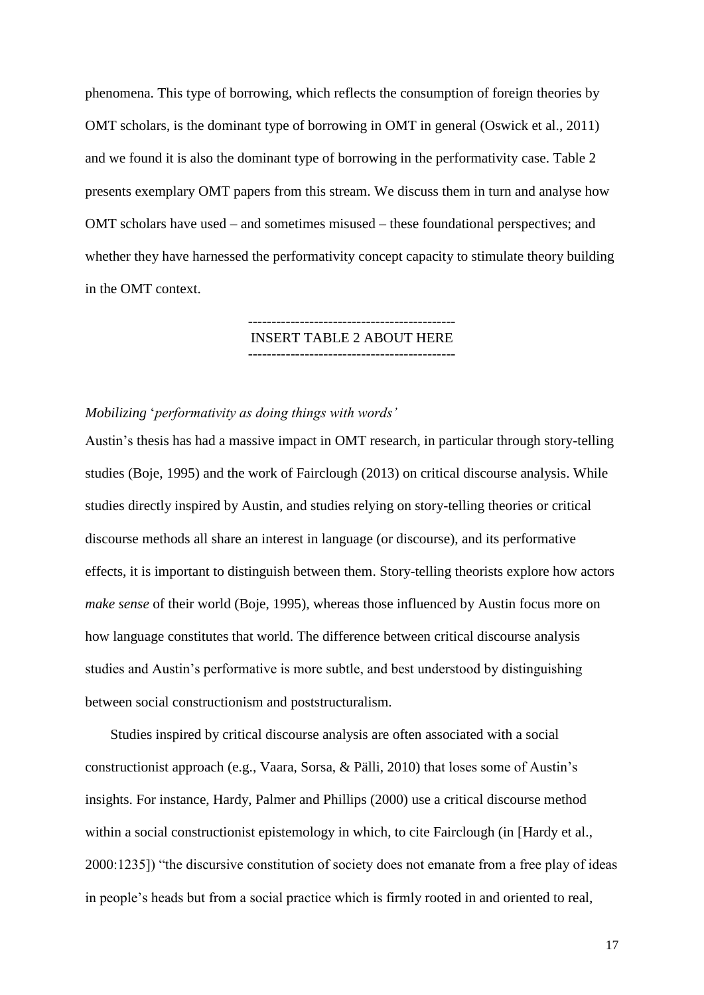phenomena. This type of borrowing, which reflects the consumption of foreign theories by OMT scholars, is the dominant type of borrowing in OMT in general (Oswick et al., 2011) and we found it is also the dominant type of borrowing in the performativity case. Table 2 presents exemplary OMT papers from this stream. We discuss them in turn and analyse how OMT scholars have used – and sometimes misused – these foundational perspectives; and whether they have harnessed the performativity concept capacity to stimulate theory building in the OMT context.

> -------------------------------------------- INSERT TABLE 2 ABOUT HERE --------------------------------------------

#### *Mobilizing* '*performativity as doing things with words'*

Austin's thesis has had a massive impact in OMT research, in particular through story-telling studies (Boje, 1995) and the work of Fairclough (2013) on critical discourse analysis. While studies directly inspired by Austin, and studies relying on story-telling theories or critical discourse methods all share an interest in language (or discourse), and its performative effects, it is important to distinguish between them. Story-telling theorists explore how actors *make sense* of their world (Boje, 1995), whereas those influenced by Austin focus more on how language constitutes that world. The difference between critical discourse analysis studies and Austin's performative is more subtle, and best understood by distinguishing between social constructionism and poststructuralism.

Studies inspired by critical discourse analysis are often associated with a social constructionist approach (e.g., Vaara, Sorsa, & Pälli, 2010) that loses some of Austin's insights. For instance, Hardy, Palmer and Phillips (2000) use a critical discourse method within a social constructionist epistemology in which, to cite Fairclough (in [Hardy et al., 2000:1235]) "the discursive constitution of society does not emanate from a free play of ideas in people's heads but from a social practice which is firmly rooted in and oriented to real,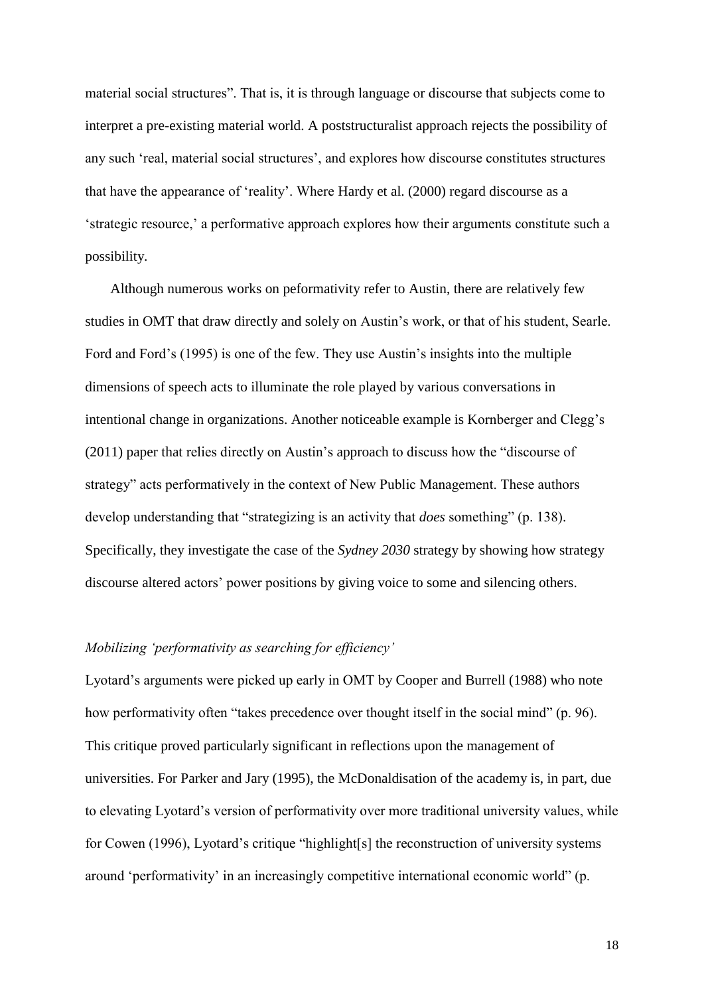material social structures". That is, it is through language or discourse that subjects come to interpret a pre-existing material world. A poststructuralist approach rejects the possibility of any such 'real, material social structures', and explores how discourse constitutes structures that have the appearance of 'reality'. Where Hardy et al. (2000) regard discourse as a 'strategic resource,' a performative approach explores how their arguments constitute such a possibility.

Although numerous works on peformativity refer to Austin, there are relatively few studies in OMT that draw directly and solely on Austin's work, or that of his student, Searle. Ford and Ford's (1995) is one of the few. They use Austin's insights into the multiple dimensions of speech acts to illuminate the role played by various conversations in intentional change in organizations. Another noticeable example is Kornberger and Clegg's (2011) paper that relies directly on Austin's approach to discuss how the "discourse of strategy" acts performatively in the context of New Public Management. These authors develop understanding that "strategizing is an activity that *does* something" (p. 138). Specifically, they investigate the case of the *Sydney 2030* strategy by showing how strategy discourse altered actors' power positions by giving voice to some and silencing others.

#### *Mobilizing 'performativity as searching for efficiency'*

Lyotard's arguments were picked up early in OMT by Cooper and Burrell (1988) who note how performativity often "takes precedence over thought itself in the social mind" (p. 96). This critique proved particularly significant in reflections upon the management of universities. For Parker and Jary (1995), the McDonaldisation of the academy is, in part, due to elevating Lyotard's version of performativity over more traditional university values, while for Cowen (1996), Lyotard's critique "highlight[s] the reconstruction of university systems around 'performativity' in an increasingly competitive international economic world" (p.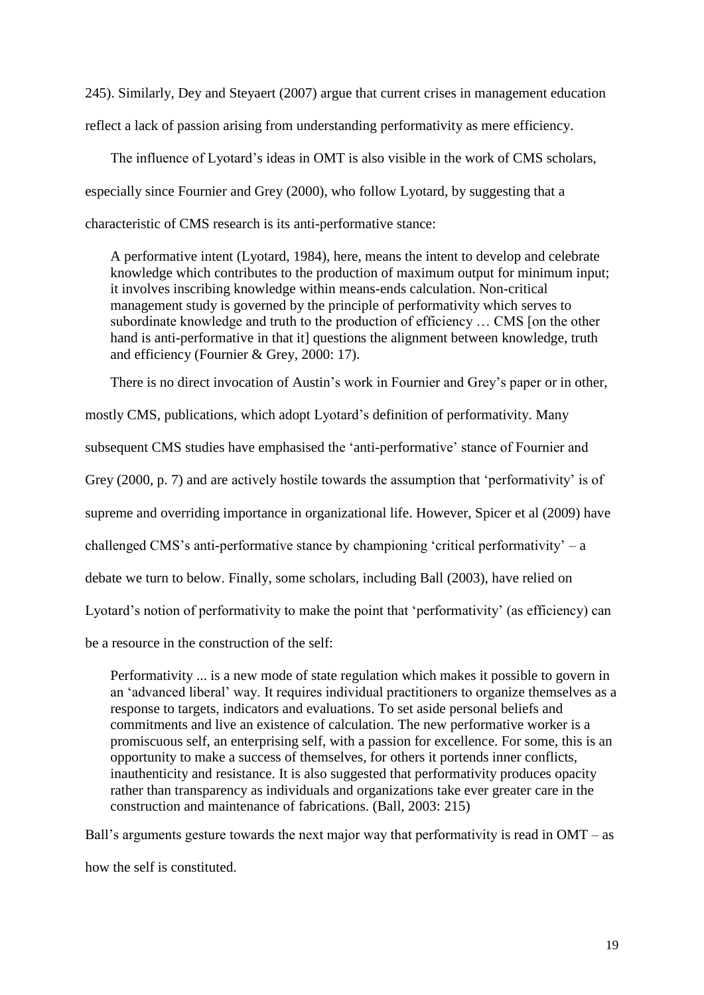245). Similarly, Dey and Steyaert (2007) argue that current crises in management education reflect a lack of passion arising from understanding performativity as mere efficiency.

The influence of Lyotard's ideas in OMT is also visible in the work of CMS scholars, especially since Fournier and Grey (2000), who follow Lyotard, by suggesting that a characteristic of CMS research is its anti-performative stance:

A performative intent (Lyotard, 1984), here, means the intent to develop and celebrate knowledge which contributes to the production of maximum output for minimum input; it involves inscribing knowledge within means-ends calculation. Non-critical management study is governed by the principle of performativity which serves to subordinate knowledge and truth to the production of efficiency … CMS [on the other hand is anti-performative in that it] questions the alignment between knowledge, truth and efficiency (Fournier & Grey, 2000: 17).

There is no direct invocation of Austin's work in Fournier and Grey's paper or in other,

mostly CMS, publications, which adopt Lyotard's definition of performativity. Many

subsequent CMS studies have emphasised the 'anti-performative' stance of Fournier and

Grey (2000, p. 7) and are actively hostile towards the assumption that 'performativity' is of

supreme and overriding importance in organizational life. However, Spicer et al (2009) have

challenged CMS's anti-performative stance by championing 'critical performativity' – a

debate we turn to below. Finally, some scholars, including Ball (2003), have relied on

Lyotard's notion of performativity to make the point that 'performativity' (as efficiency) can

be a resource in the construction of the self:

Performativity ... is a new mode of state regulation which makes it possible to govern in an 'advanced liberal' way. It requires individual practitioners to organize themselves as a response to targets, indicators and evaluations. To set aside personal beliefs and commitments and live an existence of calculation. The new performative worker is a promiscuous self, an enterprising self, with a passion for excellence. For some, this is an opportunity to make a success of themselves, for others it portends inner conflicts, inauthenticity and resistance. It is also suggested that performativity produces opacity rather than transparency as individuals and organizations take ever greater care in the construction and maintenance of fabrications. (Ball, 2003: 215)

Ball's arguments gesture towards the next major way that performativity is read in  $OMT - as$ 

how the self is constituted.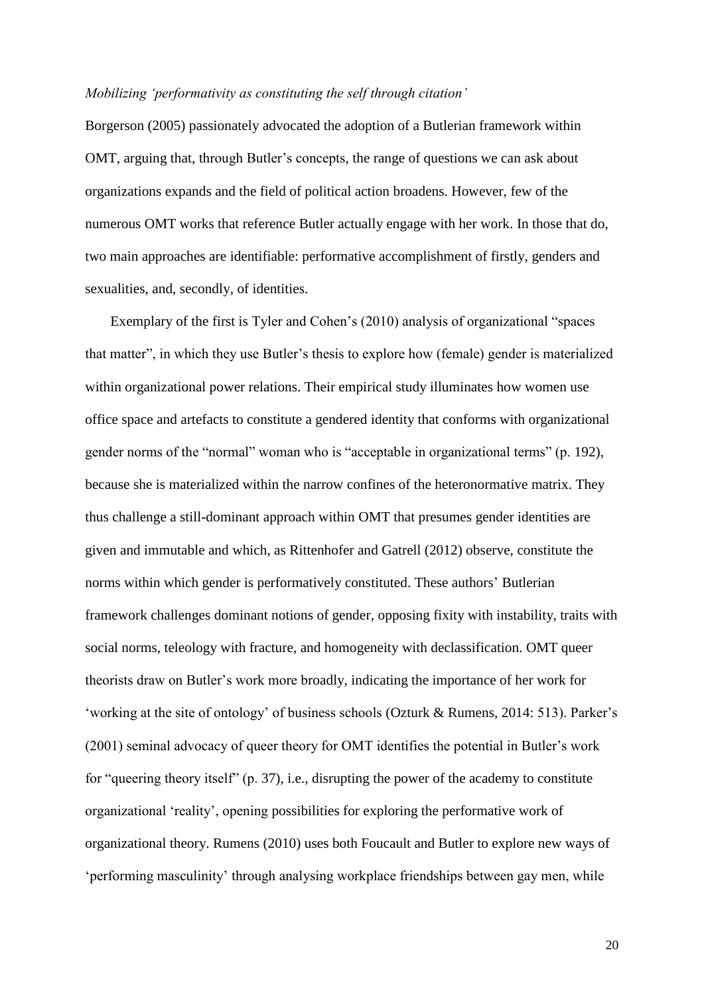#### *Mobilizing 'performativity as constituting the self through citation'*

Borgerson (2005) passionately advocated the adoption of a Butlerian framework within OMT, arguing that, through Butler's concepts, the range of questions we can ask about organizations expands and the field of political action broadens. However, few of the numerous OMT works that reference Butler actually engage with her work. In those that do, two main approaches are identifiable: performative accomplishment of firstly, genders and sexualities, and, secondly, of identities.

Exemplary of the first is Tyler and Cohen's (2010) analysis of organizational "spaces that matter", in which they use Butler's thesis to explore how (female) gender is materialized within organizational power relations. Their empirical study illuminates how women use office space and artefacts to constitute a gendered identity that conforms with organizational gender norms of the "normal" woman who is "acceptable in organizational terms" (p. 192), because she is materialized within the narrow confines of the heteronormative matrix. They thus challenge a still-dominant approach within OMT that presumes gender identities are given and immutable and which, as Rittenhofer and Gatrell (2012) observe, constitute the norms within which gender is performatively constituted. These authors' Butlerian framework challenges dominant notions of gender, opposing fixity with instability, traits with social norms, teleology with fracture, and homogeneity with declassification. OMT queer theorists draw on Butler's work more broadly, indicating the importance of her work for 'working at the site of ontology' of business schools (Ozturk & Rumens, 2014: 513). Parker's (2001) seminal advocacy of queer theory for OMT identifies the potential in Butler's work for "queering theory itself" (p. 37), i.e., disrupting the power of the academy to constitute organizational 'reality', opening possibilities for exploring the performative work of organizational theory. Rumens (2010) uses both Foucault and Butler to explore new ways of 'performing masculinity' through analysing workplace friendships between gay men, while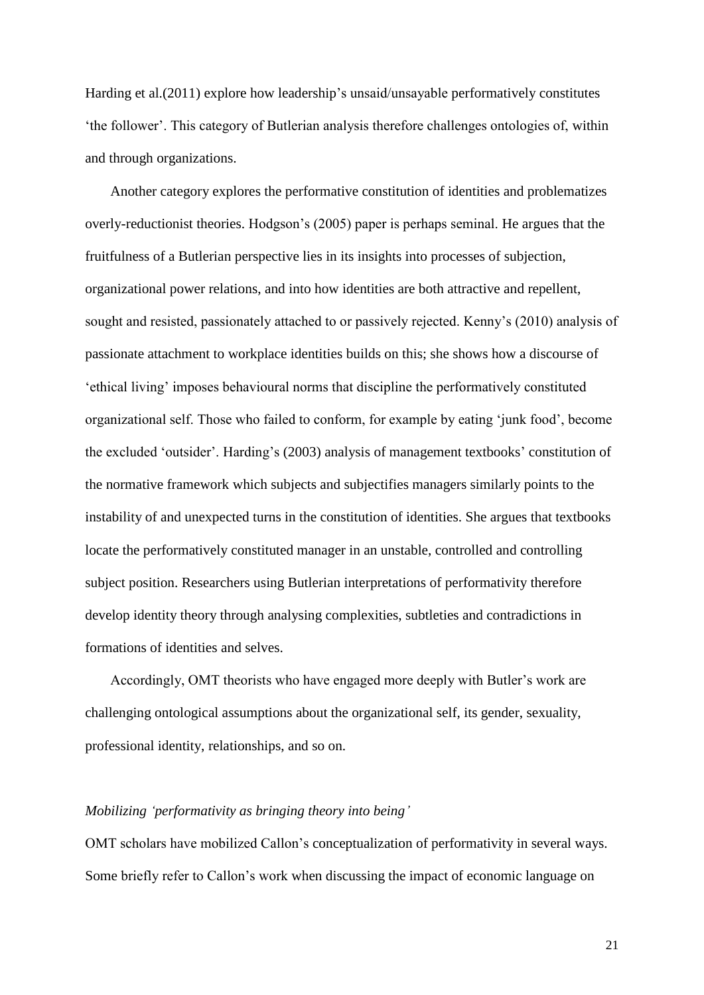Harding et al.(2011) explore how leadership's unsaid/unsayable performatively constitutes 'the follower'. This category of Butlerian analysis therefore challenges ontologies of, within and through organizations.

Another category explores the performative constitution of identities and problematizes overly-reductionist theories. Hodgson's (2005) paper is perhaps seminal. He argues that the fruitfulness of a Butlerian perspective lies in its insights into processes of subjection, organizational power relations, and into how identities are both attractive and repellent, sought and resisted, passionately attached to or passively rejected. Kenny's (2010) analysis of passionate attachment to workplace identities builds on this; she shows how a discourse of 'ethical living' imposes behavioural norms that discipline the performatively constituted organizational self. Those who failed to conform, for example by eating 'junk food', become the excluded 'outsider'. Harding's (2003) analysis of management textbooks' constitution of the normative framework which subjects and subjectifies managers similarly points to the instability of and unexpected turns in the constitution of identities. She argues that textbooks locate the performatively constituted manager in an unstable, controlled and controlling subject position. Researchers using Butlerian interpretations of performativity therefore develop identity theory through analysing complexities, subtleties and contradictions in formations of identities and selves.

Accordingly, OMT theorists who have engaged more deeply with Butler's work are challenging ontological assumptions about the organizational self, its gender, sexuality, professional identity, relationships, and so on.

#### *Mobilizing 'performativity as bringing theory into being'*

OMT scholars have mobilized Callon's conceptualization of performativity in several ways. Some briefly refer to Callon's work when discussing the impact of economic language on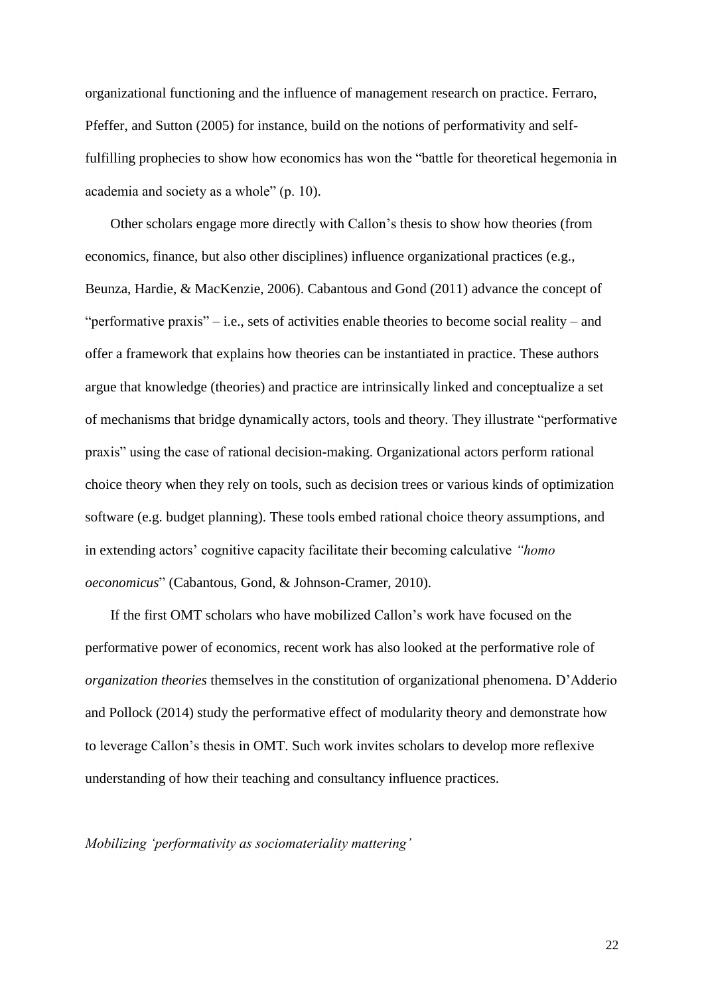organizational functioning and the influence of management research on practice. Ferraro, Pfeffer, and Sutton (2005) for instance, build on the notions of performativity and selffulfilling prophecies to show how economics has won the "battle for theoretical hegemonia in academia and society as a whole" (p. 10).

Other scholars engage more directly with Callon's thesis to show how theories (from economics, finance, but also other disciplines) influence organizational practices (e.g., Beunza, Hardie, & MacKenzie, 2006). Cabantous and Gond (2011) advance the concept of "performative praxis" – i.e., sets of activities enable theories to become social reality – and offer a framework that explains how theories can be instantiated in practice. These authors argue that knowledge (theories) and practice are intrinsically linked and conceptualize a set of mechanisms that bridge dynamically actors, tools and theory. They illustrate "performative praxis" using the case of rational decision-making. Organizational actors perform rational choice theory when they rely on tools, such as decision trees or various kinds of optimization software (e.g. budget planning). These tools embed rational choice theory assumptions, and in extending actors' cognitive capacity facilitate their becoming calculative *"homo oeconomicus*" (Cabantous, Gond, & Johnson-Cramer, 2010).

If the first OMT scholars who have mobilized Callon's work have focused on the performative power of economics, recent work has also looked at the performative role of *organization theories* themselves in the constitution of organizational phenomena. D'Adderio and Pollock (2014) study the performative effect of modularity theory and demonstrate how to leverage Callon's thesis in OMT. Such work invites scholars to develop more reflexive understanding of how their teaching and consultancy influence practices.

*Mobilizing 'performativity as sociomateriality mattering'*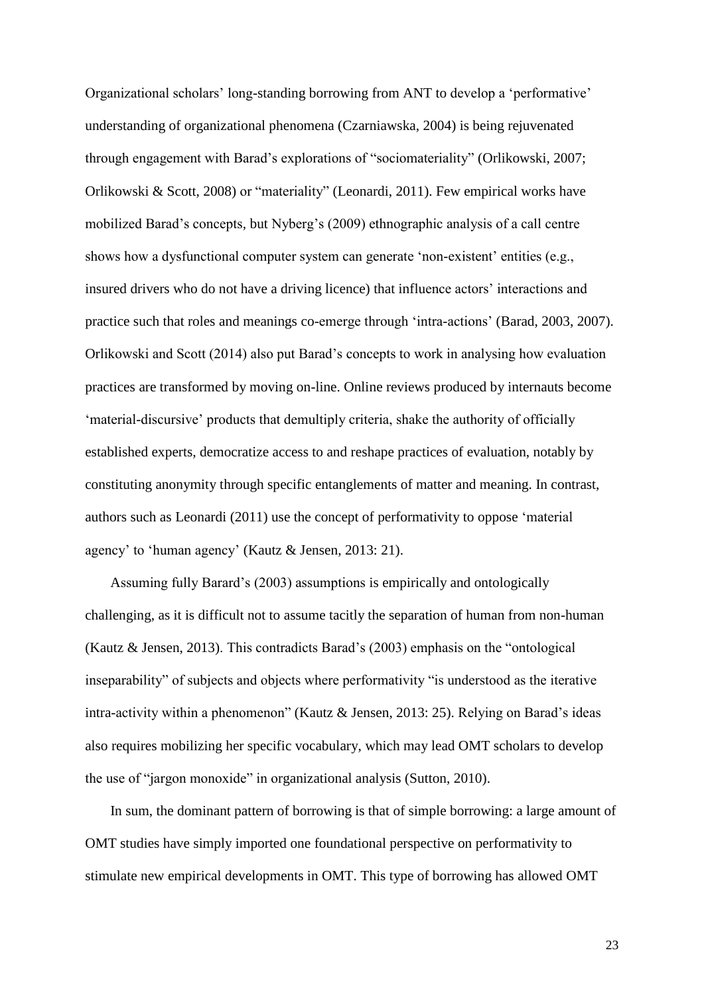Organizational scholars' long-standing borrowing from ANT to develop a 'performative' understanding of organizational phenomena (Czarniawska, 2004) is being rejuvenated through engagement with Barad's explorations of "sociomateriality" (Orlikowski, 2007; Orlikowski & Scott, 2008) or "materiality" (Leonardi, 2011). Few empirical works have mobilized Barad's concepts, but Nyberg's (2009) ethnographic analysis of a call centre shows how a dysfunctional computer system can generate 'non-existent' entities (e.g., insured drivers who do not have a driving licence) that influence actors' interactions and practice such that roles and meanings co-emerge through 'intra-actions' (Barad, 2003, 2007). Orlikowski and Scott (2014) also put Barad's concepts to work in analysing how evaluation practices are transformed by moving on-line. Online reviews produced by internauts become 'material-discursive' products that demultiply criteria, shake the authority of officially established experts, democratize access to and reshape practices of evaluation, notably by constituting anonymity through specific entanglements of matter and meaning. In contrast, authors such as Leonardi (2011) use the concept of performativity to oppose 'material agency' to 'human agency' (Kautz & Jensen, 2013: 21).

Assuming fully Barard's (2003) assumptions is empirically and ontologically challenging, as it is difficult not to assume tacitly the separation of human from non-human (Kautz & Jensen, 2013). This contradicts Barad's (2003) emphasis on the "ontological inseparability" of subjects and objects where performativity "is understood as the iterative intra-activity within a phenomenon" (Kautz & Jensen, 2013: 25). Relying on Barad's ideas also requires mobilizing her specific vocabulary, which may lead OMT scholars to develop the use of "jargon monoxide" in organizational analysis (Sutton, 2010).

In sum, the dominant pattern of borrowing is that of simple borrowing: a large amount of OMT studies have simply imported one foundational perspective on performativity to stimulate new empirical developments in OMT. This type of borrowing has allowed OMT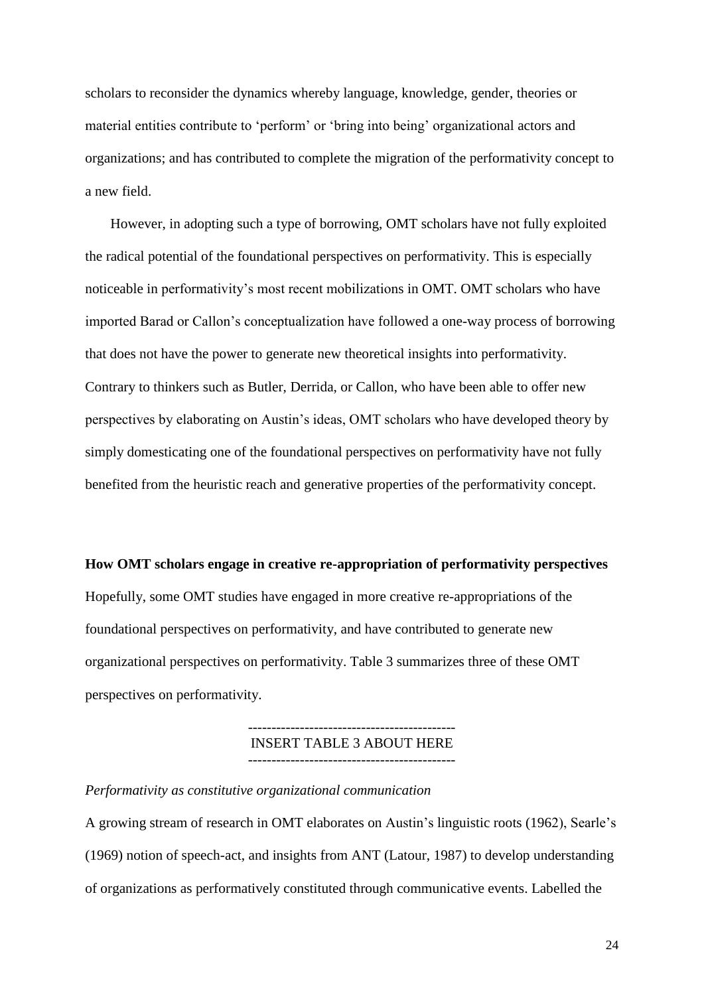scholars to reconsider the dynamics whereby language, knowledge, gender, theories or material entities contribute to 'perform' or 'bring into being' organizational actors and organizations; and has contributed to complete the migration of the performativity concept to a new field.

However, in adopting such a type of borrowing, OMT scholars have not fully exploited the radical potential of the foundational perspectives on performativity. This is especially noticeable in performativity's most recent mobilizations in OMT. OMT scholars who have imported Barad or Callon's conceptualization have followed a one-way process of borrowing that does not have the power to generate new theoretical insights into performativity. Contrary to thinkers such as Butler, Derrida, or Callon, who have been able to offer new perspectives by elaborating on Austin's ideas, OMT scholars who have developed theory by simply domesticating one of the foundational perspectives on performativity have not fully benefited from the heuristic reach and generative properties of the performativity concept.

#### **How OMT scholars engage in creative re-appropriation of performativity perspectives**

Hopefully, some OMT studies have engaged in more creative re-appropriations of the foundational perspectives on performativity, and have contributed to generate new organizational perspectives on performativity. Table 3 summarizes three of these OMT perspectives on performativity.

> -------------------------------------------- INSERT TABLE 3 ABOUT HERE --------------------------------------------

#### *Performativity as constitutive organizational communication*

A growing stream of research in OMT elaborates on Austin's linguistic roots (1962), Searle's (1969) notion of speech-act, and insights from ANT (Latour, 1987) to develop understanding of organizations as performatively constituted through communicative events. Labelled the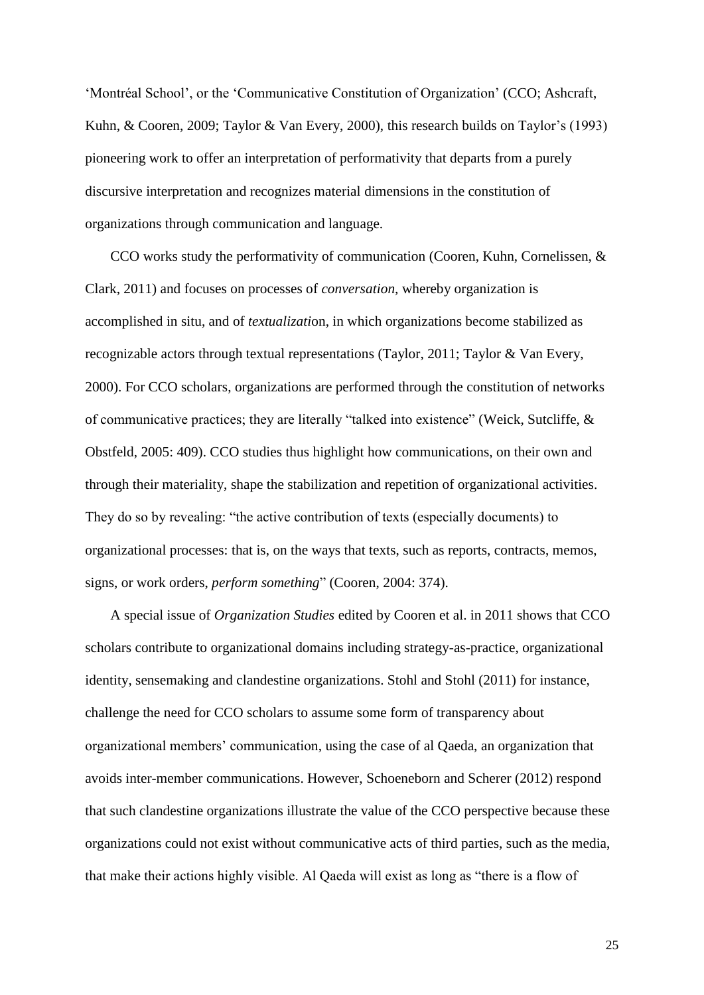'Montréal School', or the 'Communicative Constitution of Organization' (CCO; Ashcraft, Kuhn, & Cooren, 2009; Taylor & Van Every, 2000), this research builds on Taylor's (1993) pioneering work to offer an interpretation of performativity that departs from a purely discursive interpretation and recognizes material dimensions in the constitution of organizations through communication and language.

CCO works study the performativity of communication (Cooren, Kuhn, Cornelissen, & Clark, 2011) and focuses on processes of *conversation,* whereby organization is accomplished in situ, and of *textualizati*on, in which organizations become stabilized as recognizable actors through textual representations (Taylor, 2011; Taylor & Van Every, 2000). For CCO scholars, organizations are performed through the constitution of networks of communicative practices; they are literally "talked into existence" (Weick, Sutcliffe, & Obstfeld, 2005: 409). CCO studies thus highlight how communications, on their own and through their materiality, shape the stabilization and repetition of organizational activities. They do so by revealing: "the active contribution of texts (especially documents) to organizational processes: that is, on the ways that texts, such as reports, contracts, memos, signs, or work orders, *perform something*" (Cooren, 2004: 374).

A special issue of *Organization Studies* edited by Cooren et al. in 2011 shows that CCO scholars contribute to organizational domains including strategy-as-practice, organizational identity, sensemaking and clandestine organizations. Stohl and Stohl (2011) for instance, challenge the need for CCO scholars to assume some form of transparency about organizational members' communication, using the case of al Qaeda, an organization that avoids inter-member communications. However, Schoeneborn and Scherer (2012) respond that such clandestine organizations illustrate the value of the CCO perspective because these organizations could not exist without communicative acts of third parties, such as the media, that make their actions highly visible. Al Qaeda will exist as long as "there is a flow of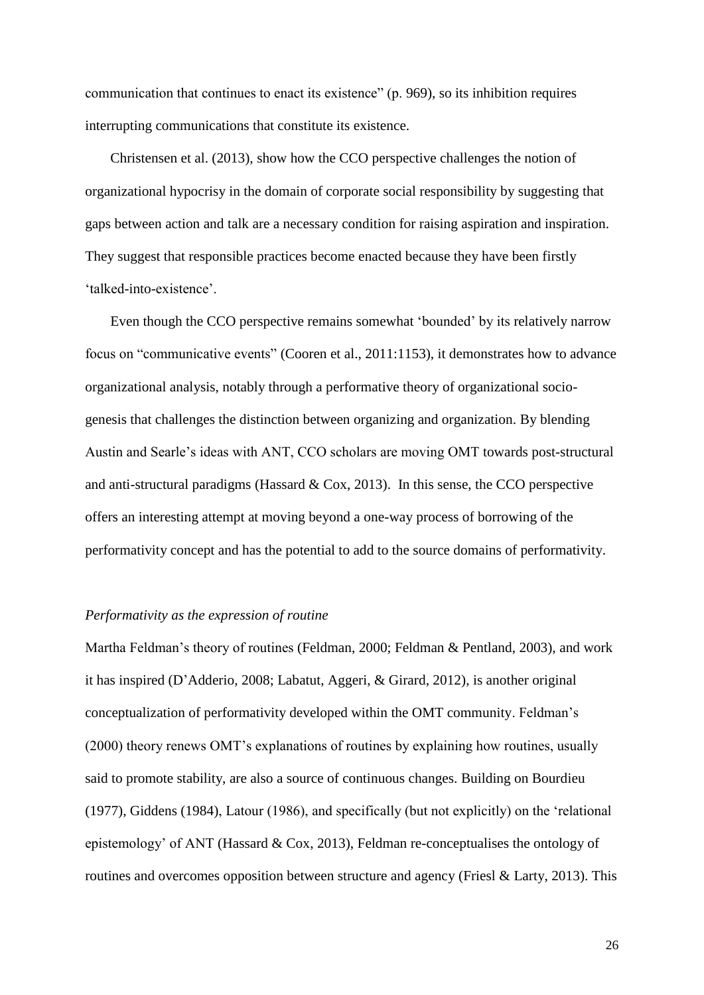communication that continues to enact its existence" (p. 969), so its inhibition requires interrupting communications that constitute its existence.

Christensen et al. (2013), show how the CCO perspective challenges the notion of organizational hypocrisy in the domain of corporate social responsibility by suggesting that gaps between action and talk are a necessary condition for raising aspiration and inspiration. They suggest that responsible practices become enacted because they have been firstly 'talked-into-existence'.

Even though the CCO perspective remains somewhat 'bounded' by its relatively narrow focus on "communicative events" (Cooren et al., 2011:1153), it demonstrates how to advance organizational analysis, notably through a performative theory of organizational sociogenesis that challenges the distinction between organizing and organization. By blending Austin and Searle's ideas with ANT, CCO scholars are moving OMT towards post-structural and anti-structural paradigms (Hassard & Cox, 2013). In this sense, the CCO perspective offers an interesting attempt at moving beyond a one-way process of borrowing of the performativity concept and has the potential to add to the source domains of performativity.

#### *Performativity as the expression of routine*

Martha Feldman's theory of routines (Feldman, 2000; Feldman & Pentland, 2003), and work it has inspired (D'Adderio, 2008; Labatut, Aggeri, & Girard, 2012), is another original conceptualization of performativity developed within the OMT community. Feldman's (2000) theory renews OMT's explanations of routines by explaining how routines, usually said to promote stability, are also a source of continuous changes. Building on Bourdieu (1977), Giddens (1984), Latour (1986), and specifically (but not explicitly) on the 'relational epistemology' of ANT (Hassard & Cox, 2013), Feldman re-conceptualises the ontology of routines and overcomes opposition between structure and agency (Friesl & Larty, 2013). This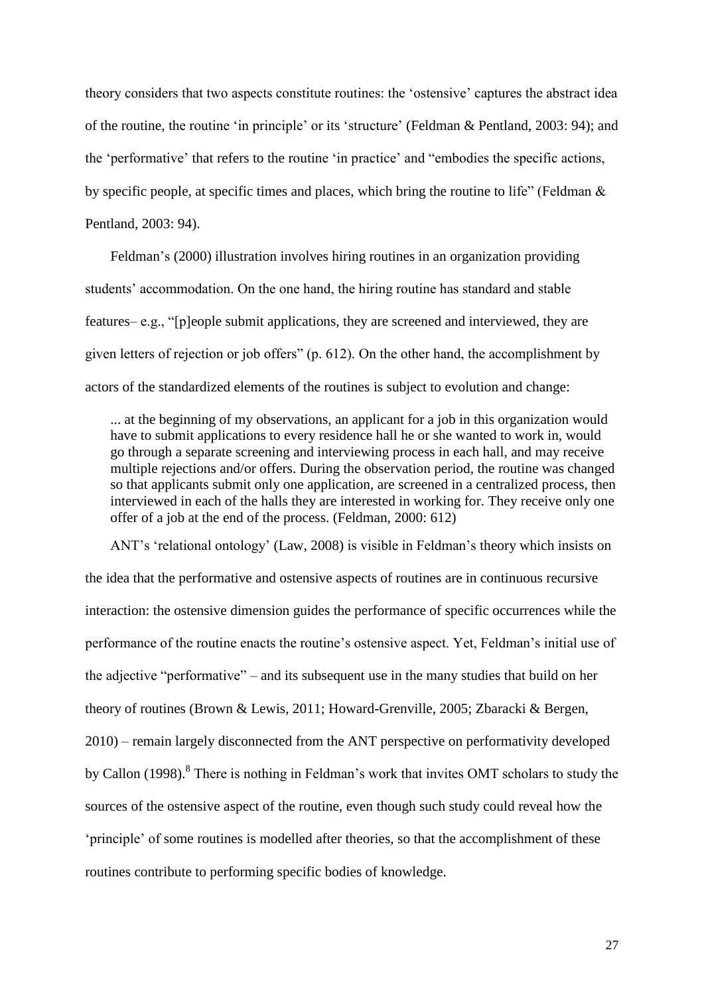theory considers that two aspects constitute routines: the 'ostensive' captures the abstract idea of the routine, the routine 'in principle' or its 'structure' (Feldman & Pentland, 2003: 94); and the 'performative' that refers to the routine 'in practice' and "embodies the specific actions, by specific people, at specific times and places, which bring the routine to life" (Feldman  $\&$ Pentland, 2003: 94).

Feldman's (2000) illustration involves hiring routines in an organization providing students' accommodation. On the one hand, the hiring routine has standard and stable features– e.g., "[p]eople submit applications, they are screened and interviewed, they are given letters of rejection or job offers" (p. 612). On the other hand, the accomplishment by actors of the standardized elements of the routines is subject to evolution and change:

... at the beginning of my observations, an applicant for a job in this organization would have to submit applications to every residence hall he or she wanted to work in, would go through a separate screening and interviewing process in each hall, and may receive multiple rejections and/or offers. During the observation period, the routine was changed so that applicants submit only one application, are screened in a centralized process, then interviewed in each of the halls they are interested in working for. They receive only one offer of a job at the end of the process. (Feldman, 2000: 612)

ANT's 'relational ontology' (Law, 2008) is visible in Feldman's theory which insists on the idea that the performative and ostensive aspects of routines are in continuous recursive interaction: the ostensive dimension guides the performance of specific occurrences while the performance of the routine enacts the routine's ostensive aspect. Yet, Feldman's initial use of the adjective "performative" – and its subsequent use in the many studies that build on her theory of routines (Brown & Lewis, 2011; Howard-Grenville, 2005; Zbaracki & Bergen, 2010) – remain largely disconnected from the ANT perspective on performativity developed by Callon (1998).<sup>8</sup> There is nothing in Feldman's work that invites OMT scholars to study the sources of the ostensive aspect of the routine, even though such study could reveal how the 'principle' of some routines is modelled after theories, so that the accomplishment of these routines contribute to performing specific bodies of knowledge.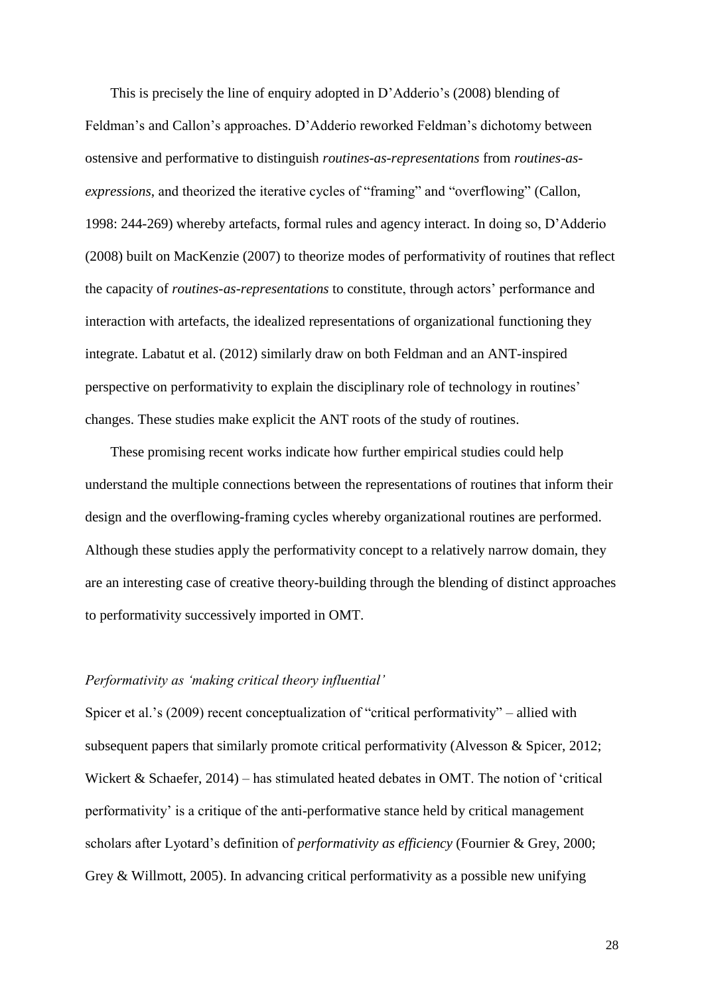This is precisely the line of enquiry adopted in D'Adderio's (2008) blending of Feldman's and Callon's approaches. D'Adderio reworked Feldman's dichotomy between ostensive and performative to distinguish *routines-as-representations* from *routines-asexpressions*, and theorized the iterative cycles of "framing" and "overflowing" (Callon, 1998: 244-269) whereby artefacts, formal rules and agency interact. In doing so, D'Adderio (2008) built on MacKenzie (2007) to theorize modes of performativity of routines that reflect the capacity of *routines-as-representations* to constitute, through actors' performance and interaction with artefacts, the idealized representations of organizational functioning they integrate. Labatut et al. (2012) similarly draw on both Feldman and an ANT-inspired perspective on performativity to explain the disciplinary role of technology in routines' changes. These studies make explicit the ANT roots of the study of routines.

These promising recent works indicate how further empirical studies could help understand the multiple connections between the representations of routines that inform their design and the overflowing-framing cycles whereby organizational routines are performed. Although these studies apply the performativity concept to a relatively narrow domain, they are an interesting case of creative theory-building through the blending of distinct approaches to performativity successively imported in OMT.

#### *Performativity as 'making critical theory influential'*

Spicer et al.'s (2009) recent conceptualization of "critical performativity" – allied with subsequent papers that similarly promote critical performativity (Alvesson  $\&$  Spicer, 2012; Wickert & Schaefer, 2014) – has stimulated heated debates in OMT. The notion of 'critical performativity' is a critique of the anti-performative stance held by critical management scholars after Lyotard's definition of *performativity as efficiency* (Fournier & Grey, 2000; Grey & Willmott, 2005). In advancing critical performativity as a possible new unifying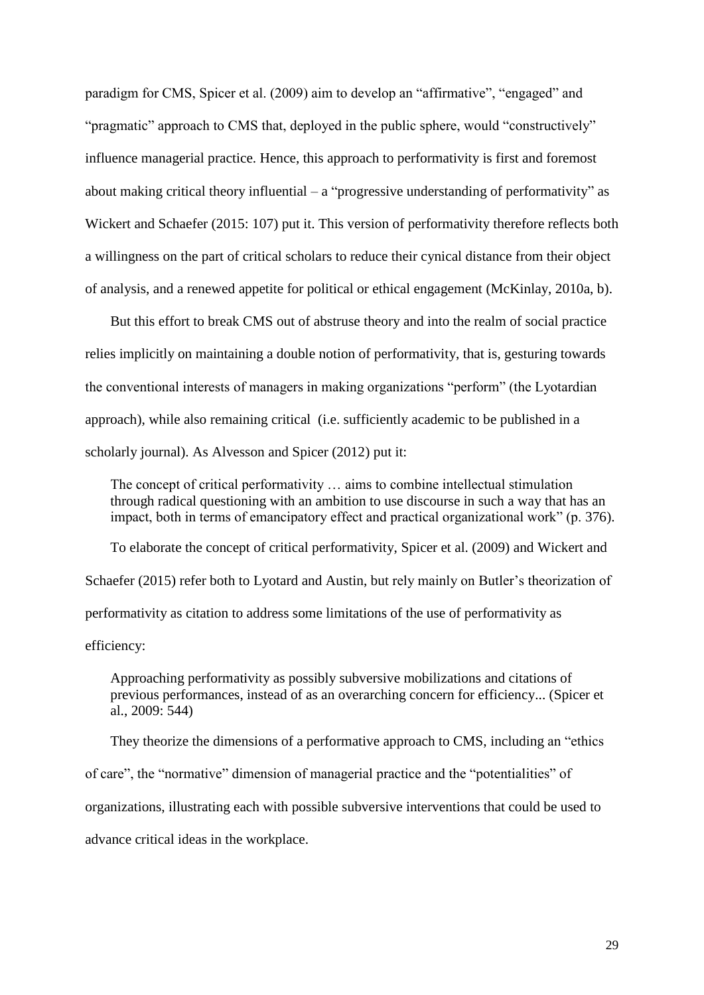paradigm for CMS, Spicer et al. (2009) aim to develop an "affirmative", "engaged" and "pragmatic" approach to CMS that, deployed in the public sphere, would "constructively" influence managerial practice. Hence, this approach to performativity is first and foremost about making critical theory influential  $-$  a "progressive understanding of performativity" as Wickert and Schaefer (2015: 107) put it. This version of performativity therefore reflects both a willingness on the part of critical scholars to reduce their cynical distance from their object of analysis, and a renewed appetite for political or ethical engagement (McKinlay, 2010a, b).

But this effort to break CMS out of abstruse theory and into the realm of social practice relies implicitly on maintaining a double notion of performativity, that is, gesturing towards the conventional interests of managers in making organizations "perform" (the Lyotardian approach), while also remaining critical (i.e. sufficiently academic to be published in a scholarly journal). As Alvesson and Spicer (2012) put it:

The concept of critical performativity … aims to combine intellectual stimulation through radical questioning with an ambition to use discourse in such a way that has an impact, both in terms of emancipatory effect and practical organizational work" (p. 376).

To elaborate the concept of critical performativity, Spicer et al. (2009) and Wickert and Schaefer (2015) refer both to Lyotard and Austin, but rely mainly on Butler's theorization of performativity as citation to address some limitations of the use of performativity as efficiency:

Approaching performativity as possibly subversive mobilizations and citations of previous performances, instead of as an overarching concern for efficiency... (Spicer et al., 2009: 544)

They theorize the dimensions of a performative approach to CMS, including an "ethics of care", the "normative" dimension of managerial practice and the "potentialities" of organizations, illustrating each with possible subversive interventions that could be used to advance critical ideas in the workplace.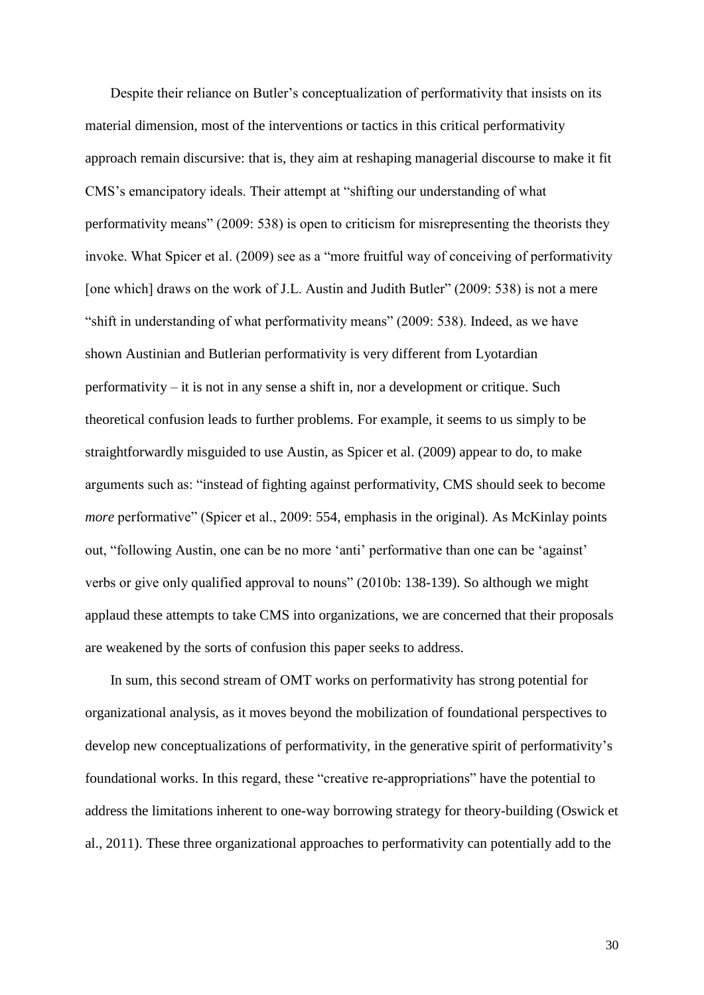Despite their reliance on Butler's conceptualization of performativity that insists on its material dimension, most of the interventions or tactics in this critical performativity approach remain discursive: that is, they aim at reshaping managerial discourse to make it fit CMS's emancipatory ideals. Their attempt at "shifting our understanding of what performativity means" (2009: 538) is open to criticism for misrepresenting the theorists they invoke. What Spicer et al. (2009) see as a "more fruitful way of conceiving of performativity [one which] draws on the work of J.L. Austin and Judith Butler" (2009: 538) is not a mere "shift in understanding of what performativity means" (2009: 538). Indeed, as we have shown Austinian and Butlerian performativity is very different from Lyotardian performativity – it is not in any sense a shift in, nor a development or critique. Such theoretical confusion leads to further problems. For example, it seems to us simply to be straightforwardly misguided to use Austin, as Spicer et al. (2009) appear to do, to make arguments such as: "instead of fighting against performativity, CMS should seek to become *more* performative" (Spicer et al., 2009: 554, emphasis in the original). As McKinlay points out, "following Austin, one can be no more 'anti' performative than one can be 'against' verbs or give only qualified approval to nouns" (2010b: 138-139). So although we might applaud these attempts to take CMS into organizations, we are concerned that their proposals are weakened by the sorts of confusion this paper seeks to address.

In sum, this second stream of OMT works on performativity has strong potential for organizational analysis, as it moves beyond the mobilization of foundational perspectives to develop new conceptualizations of performativity, in the generative spirit of performativity's foundational works. In this regard, these "creative re-appropriations" have the potential to address the limitations inherent to one-way borrowing strategy for theory-building (Oswick et al., 2011). These three organizational approaches to performativity can potentially add to the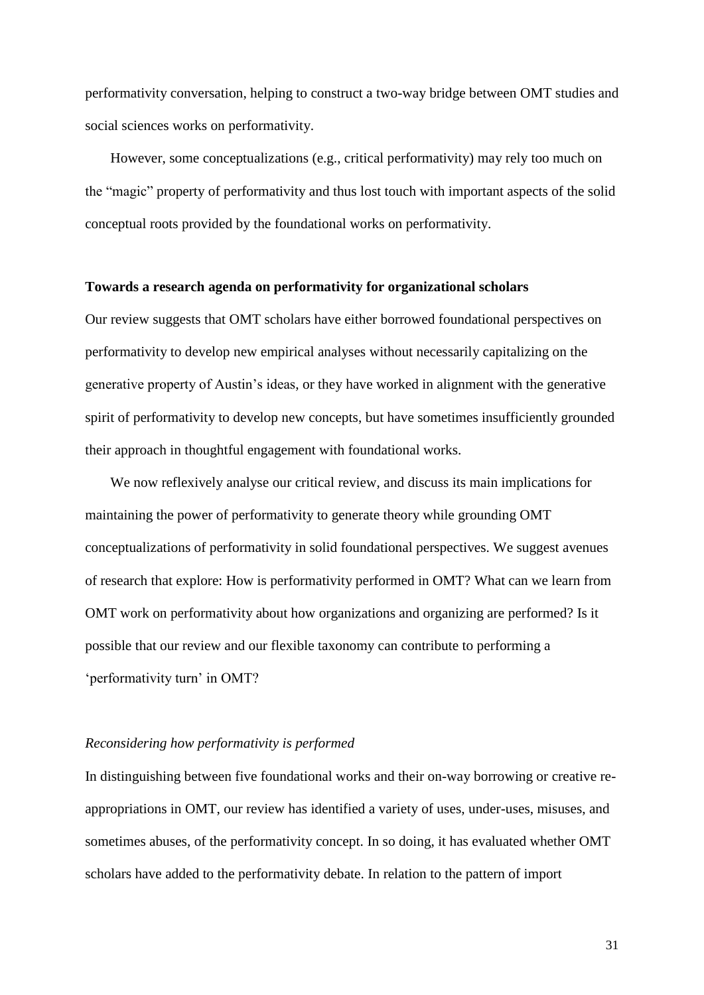performativity conversation, helping to construct a two-way bridge between OMT studies and social sciences works on performativity.

However, some conceptualizations (e.g., critical performativity) may rely too much on the "magic" property of performativity and thus lost touch with important aspects of the solid conceptual roots provided by the foundational works on performativity.

#### **Towards a research agenda on performativity for organizational scholars**

Our review suggests that OMT scholars have either borrowed foundational perspectives on performativity to develop new empirical analyses without necessarily capitalizing on the generative property of Austin's ideas, or they have worked in alignment with the generative spirit of performativity to develop new concepts, but have sometimes insufficiently grounded their approach in thoughtful engagement with foundational works.

We now reflexively analyse our critical review, and discuss its main implications for maintaining the power of performativity to generate theory while grounding OMT conceptualizations of performativity in solid foundational perspectives. We suggest avenues of research that explore: How is performativity performed in OMT? What can we learn from OMT work on performativity about how organizations and organizing are performed? Is it possible that our review and our flexible taxonomy can contribute to performing a 'performativity turn' in OMT?

#### *Reconsidering how performativity is performed*

In distinguishing between five foundational works and their on-way borrowing or creative reappropriations in OMT, our review has identified a variety of uses, under-uses, misuses, and sometimes abuses, of the performativity concept. In so doing, it has evaluated whether OMT scholars have added to the performativity debate. In relation to the pattern of import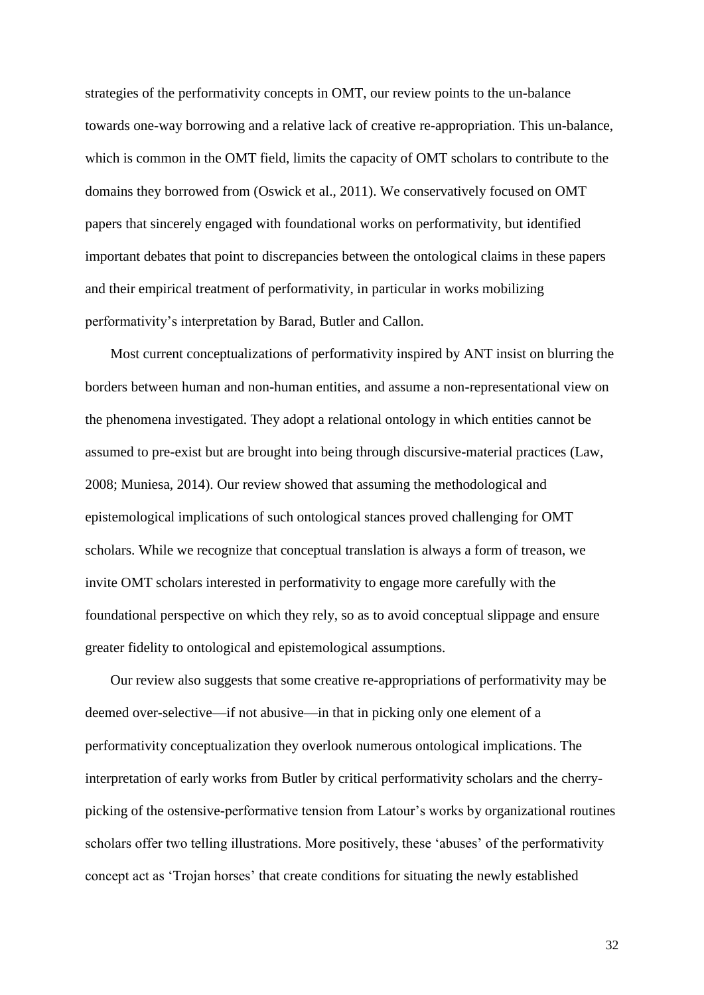strategies of the performativity concepts in OMT, our review points to the un-balance towards one-way borrowing and a relative lack of creative re-appropriation. This un-balance, which is common in the OMT field, limits the capacity of OMT scholars to contribute to the domains they borrowed from (Oswick et al., 2011). We conservatively focused on OMT papers that sincerely engaged with foundational works on performativity, but identified important debates that point to discrepancies between the ontological claims in these papers and their empirical treatment of performativity, in particular in works mobilizing performativity's interpretation by Barad, Butler and Callon.

Most current conceptualizations of performativity inspired by ANT insist on blurring the borders between human and non-human entities, and assume a non-representational view on the phenomena investigated. They adopt a relational ontology in which entities cannot be assumed to pre-exist but are brought into being through discursive-material practices (Law, 2008; Muniesa, 2014). Our review showed that assuming the methodological and epistemological implications of such ontological stances proved challenging for OMT scholars. While we recognize that conceptual translation is always a form of treason, we invite OMT scholars interested in performativity to engage more carefully with the foundational perspective on which they rely, so as to avoid conceptual slippage and ensure greater fidelity to ontological and epistemological assumptions.

Our review also suggests that some creative re-appropriations of performativity may be deemed over-selective—if not abusive—in that in picking only one element of a performativity conceptualization they overlook numerous ontological implications. The interpretation of early works from Butler by critical performativity scholars and the cherrypicking of the ostensive-performative tension from Latour's works by organizational routines scholars offer two telling illustrations. More positively, these 'abuses' of the performativity concept act as 'Trojan horses' that create conditions for situating the newly established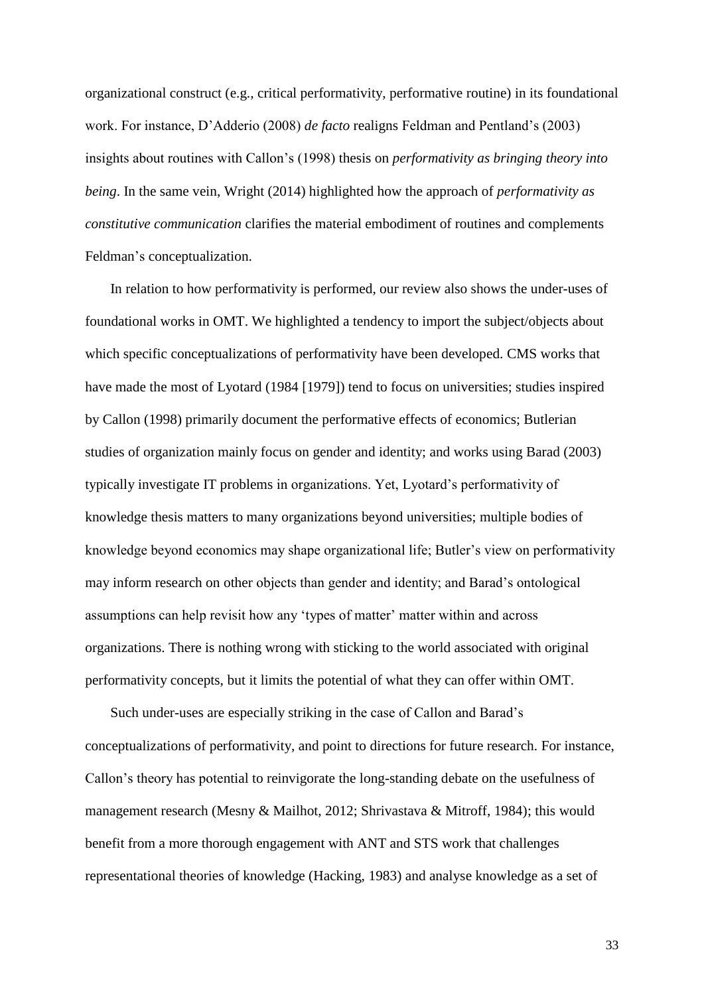organizational construct (e.g., critical performativity, performative routine) in its foundational work. For instance, D'Adderio (2008) *de facto* realigns Feldman and Pentland's (2003) insights about routines with Callon's (1998) thesis on *performativity as bringing theory into being*. In the same vein, Wright (2014) highlighted how the approach of *performativity as constitutive communication* clarifies the material embodiment of routines and complements Feldman's conceptualization.

In relation to how performativity is performed, our review also shows the under-uses of foundational works in OMT. We highlighted a tendency to import the subject/objects about which specific conceptualizations of performativity have been developed. CMS works that have made the most of Lyotard (1984 [1979]) tend to focus on universities; studies inspired by Callon (1998) primarily document the performative effects of economics; Butlerian studies of organization mainly focus on gender and identity; and works using Barad (2003) typically investigate IT problems in organizations. Yet, Lyotard's performativity of knowledge thesis matters to many organizations beyond universities; multiple bodies of knowledge beyond economics may shape organizational life; Butler's view on performativity may inform research on other objects than gender and identity; and Barad's ontological assumptions can help revisit how any 'types of matter' matter within and across organizations. There is nothing wrong with sticking to the world associated with original performativity concepts, but it limits the potential of what they can offer within OMT.

Such under-uses are especially striking in the case of Callon and Barad's conceptualizations of performativity, and point to directions for future research. For instance, Callon's theory has potential to reinvigorate the long-standing debate on the usefulness of management research (Mesny & Mailhot, 2012; Shrivastava & Mitroff, 1984); this would benefit from a more thorough engagement with ANT and STS work that challenges representational theories of knowledge (Hacking, 1983) and analyse knowledge as a set of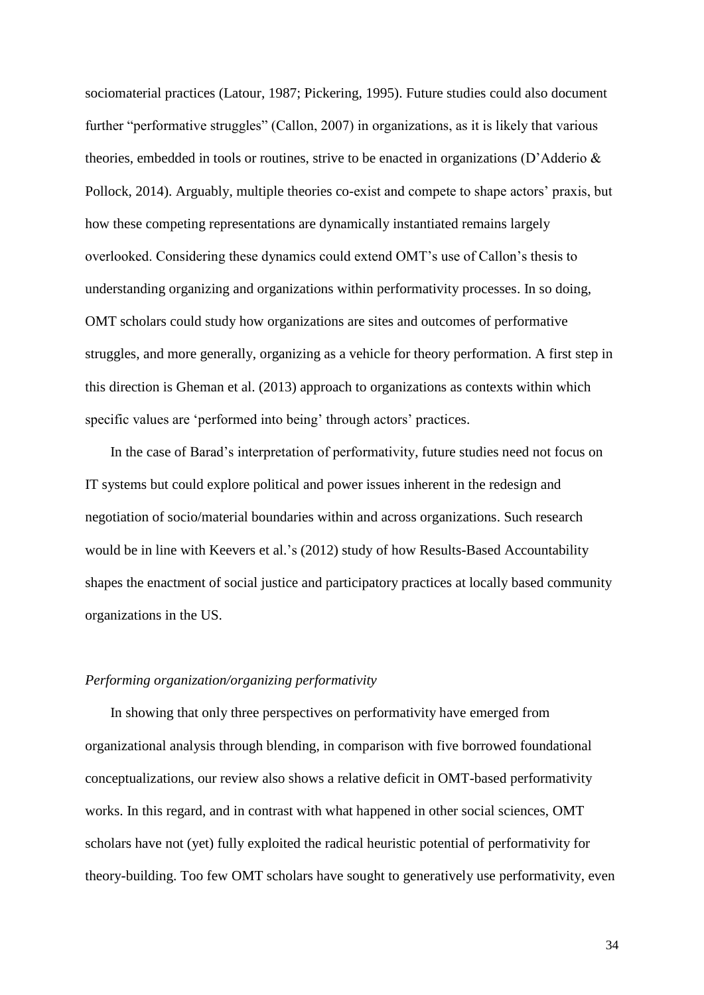sociomaterial practices (Latour, 1987; Pickering, 1995). Future studies could also document further "performative struggles" (Callon, 2007) in organizations, as it is likely that various theories, embedded in tools or routines, strive to be enacted in organizations (D'Adderio & Pollock, 2014). Arguably, multiple theories co-exist and compete to shape actors' praxis, but how these competing representations are dynamically instantiated remains largely overlooked. Considering these dynamics could extend OMT's use of Callon's thesis to understanding organizing and organizations within performativity processes. In so doing, OMT scholars could study how organizations are sites and outcomes of performative struggles, and more generally, organizing as a vehicle for theory performation. A first step in this direction is Gheman et al. (2013) approach to organizations as contexts within which specific values are 'performed into being' through actors' practices.

In the case of Barad's interpretation of performativity, future studies need not focus on IT systems but could explore political and power issues inherent in the redesign and negotiation of socio/material boundaries within and across organizations. Such research would be in line with Keevers et al.'s (2012) study of how Results-Based Accountability shapes the enactment of social justice and participatory practices at locally based community organizations in the US.

#### *Performing organization/organizing performativity*

In showing that only three perspectives on performativity have emerged from organizational analysis through blending, in comparison with five borrowed foundational conceptualizations, our review also shows a relative deficit in OMT-based performativity works. In this regard, and in contrast with what happened in other social sciences, OMT scholars have not (yet) fully exploited the radical heuristic potential of performativity for theory-building. Too few OMT scholars have sought to generatively use performativity, even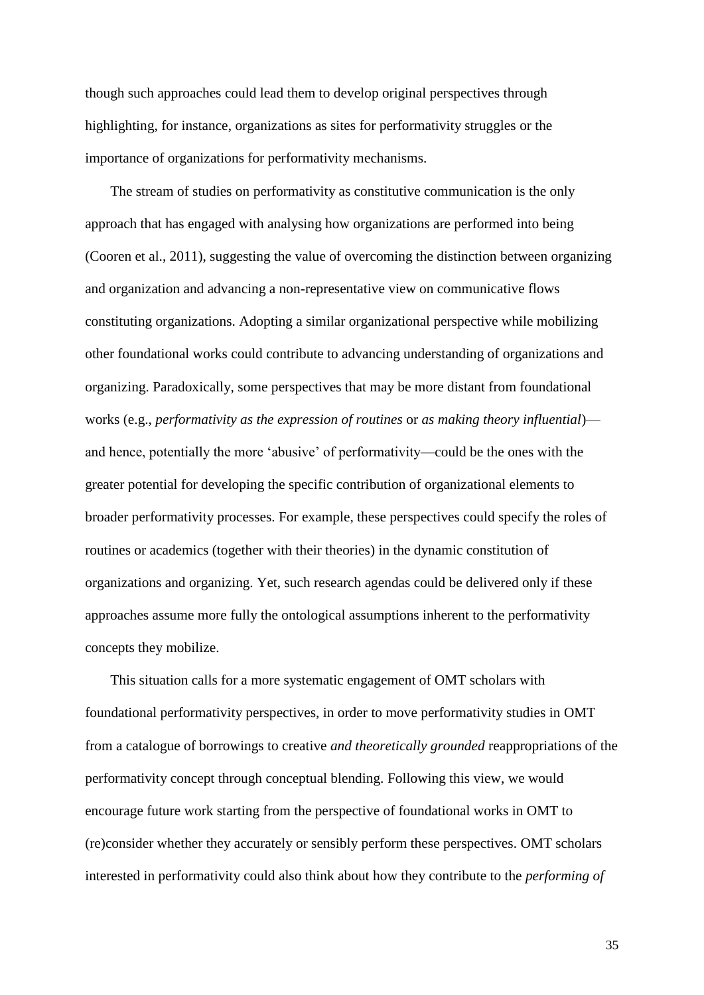though such approaches could lead them to develop original perspectives through highlighting, for instance, organizations as sites for performativity struggles or the importance of organizations for performativity mechanisms.

The stream of studies on performativity as constitutive communication is the only approach that has engaged with analysing how organizations are performed into being (Cooren et al., 2011), suggesting the value of overcoming the distinction between organizing and organization and advancing a non-representative view on communicative flows constituting organizations. Adopting a similar organizational perspective while mobilizing other foundational works could contribute to advancing understanding of organizations and organizing. Paradoxically, some perspectives that may be more distant from foundational works (e.g., *performativity as the expression of routines* or *as making theory influential*) and hence, potentially the more 'abusive' of performativity—could be the ones with the greater potential for developing the specific contribution of organizational elements to broader performativity processes. For example, these perspectives could specify the roles of routines or academics (together with their theories) in the dynamic constitution of organizations and organizing. Yet, such research agendas could be delivered only if these approaches assume more fully the ontological assumptions inherent to the performativity concepts they mobilize.

This situation calls for a more systematic engagement of OMT scholars with foundational performativity perspectives, in order to move performativity studies in OMT from a catalogue of borrowings to creative *and theoretically grounded* reappropriations of the performativity concept through conceptual blending. Following this view, we would encourage future work starting from the perspective of foundational works in OMT to (re)consider whether they accurately or sensibly perform these perspectives. OMT scholars interested in performativity could also think about how they contribute to the *performing of*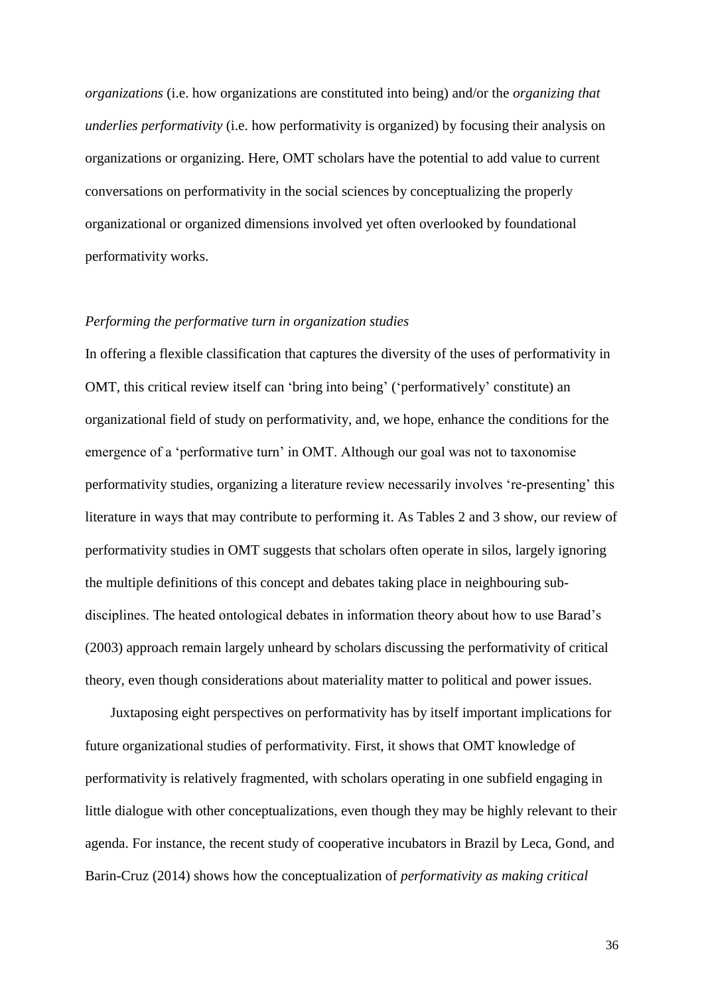*organizations* (i.e. how organizations are constituted into being) and/or the *organizing that underlies performativity* (i.e. how performativity is organized) by focusing their analysis on organizations or organizing. Here, OMT scholars have the potential to add value to current conversations on performativity in the social sciences by conceptualizing the properly organizational or organized dimensions involved yet often overlooked by foundational performativity works.

#### *Performing the performative turn in organization studies*

In offering a flexible classification that captures the diversity of the uses of performativity in OMT, this critical review itself can 'bring into being' ('performatively' constitute) an organizational field of study on performativity, and, we hope, enhance the conditions for the emergence of a 'performative turn' in OMT. Although our goal was not to taxonomise performativity studies, organizing a literature review necessarily involves 're-presenting' this literature in ways that may contribute to performing it. As Tables 2 and 3 show, our review of performativity studies in OMT suggests that scholars often operate in silos, largely ignoring the multiple definitions of this concept and debates taking place in neighbouring subdisciplines. The heated ontological debates in information theory about how to use Barad's (2003) approach remain largely unheard by scholars discussing the performativity of critical theory, even though considerations about materiality matter to political and power issues.

Juxtaposing eight perspectives on performativity has by itself important implications for future organizational studies of performativity. First, it shows that OMT knowledge of performativity is relatively fragmented, with scholars operating in one subfield engaging in little dialogue with other conceptualizations, even though they may be highly relevant to their agenda. For instance, the recent study of cooperative incubators in Brazil by Leca, Gond, and Barin-Cruz (2014) shows how the conceptualization of *performativity as making critical*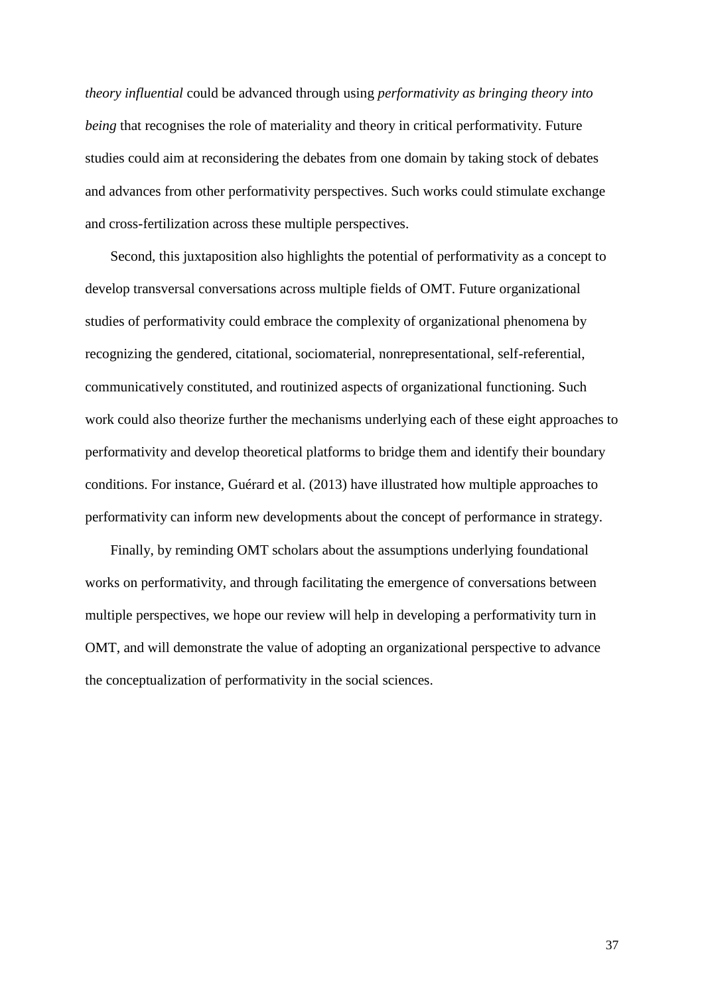*theory influential* could be advanced through using *performativity as bringing theory into being* that recognises the role of materiality and theory in critical performativity. Future studies could aim at reconsidering the debates from one domain by taking stock of debates and advances from other performativity perspectives. Such works could stimulate exchange and cross-fertilization across these multiple perspectives.

Second, this juxtaposition also highlights the potential of performativity as a concept to develop transversal conversations across multiple fields of OMT. Future organizational studies of performativity could embrace the complexity of organizational phenomena by recognizing the gendered, citational, sociomaterial, nonrepresentational, self-referential, communicatively constituted, and routinized aspects of organizational functioning. Such work could also theorize further the mechanisms underlying each of these eight approaches to performativity and develop theoretical platforms to bridge them and identify their boundary conditions. For instance, Guérard et al. (2013) have illustrated how multiple approaches to performativity can inform new developments about the concept of performance in strategy.

Finally, by reminding OMT scholars about the assumptions underlying foundational works on performativity, and through facilitating the emergence of conversations between multiple perspectives, we hope our review will help in developing a performativity turn in OMT, and will demonstrate the value of adopting an organizational perspective to advance the conceptualization of performativity in the social sciences.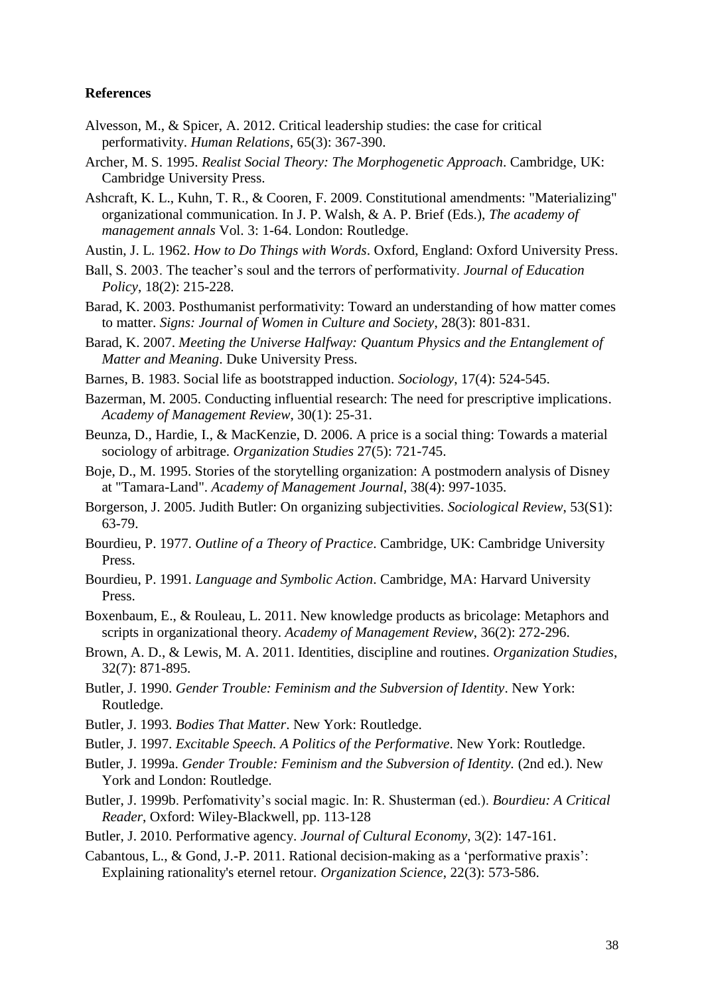#### **References**

- Alvesson, M., & Spicer, A. 2012. Critical leadership studies: the case for critical performativity. *Human Relations*, 65(3): 367-390.
- Archer, M. S. 1995. *Realist Social Theory: The Morphogenetic Approach*. Cambridge, UK: Cambridge University Press.
- Ashcraft, K. L., Kuhn, T. R., & Cooren, F. 2009. Constitutional amendments: "Materializing" organizational communication. In J. P. Walsh, & A. P. Brief (Eds.), *The academy of management annals* Vol. 3: 1-64. London: Routledge.
- Austin, J. L. 1962. *How to Do Things with Words*. Oxford, England: Oxford University Press.
- Ball, S. 2003. The teacher's soul and the terrors of performativity. *Journal of Education Policy*, 18(2): 215-228.
- Barad, K. 2003. Posthumanist performativity: Toward an understanding of how matter comes to matter. *Signs: Journal of Women in Culture and Society*, 28(3): 801-831.
- Barad, K. 2007. *Meeting the Universe Halfway: Quantum Physics and the Entanglement of Matter and Meaning*. Duke University Press.
- Barnes, B. 1983. Social life as bootstrapped induction. *Sociology*, 17(4): 524-545.
- Bazerman, M. 2005. Conducting influential research: The need for prescriptive implications. *Academy of Management Review*, 30(1): 25-31.
- Beunza, D., Hardie, I., & MacKenzie, D. 2006. A price is a social thing: Towards a material sociology of arbitrage. *Organization Studies* 27(5): 721-745.
- Boje, D., M. 1995. Stories of the storytelling organization: A postmodern analysis of Disney at "Tamara-Land". *Academy of Management Journal*, 38(4): 997-1035.
- Borgerson, J. 2005. Judith Butler: On organizing subjectivities. *Sociological Review*, 53(S1): 63-79.
- Bourdieu, P. 1977. *Outline of a Theory of Practice*. Cambridge, UK: Cambridge University Press.
- Bourdieu, P. 1991. *Language and Symbolic Action*. Cambridge, MA: Harvard University Press.
- Boxenbaum, E., & Rouleau, L. 2011. New knowledge products as bricolage: Metaphors and scripts in organizational theory. *Academy of Management Review*, 36(2): 272-296.
- Brown, A. D., & Lewis, M. A. 2011. Identities, discipline and routines. *Organization Studies*, 32(7): 871-895.
- Butler, J. 1990. *Gender Trouble: Feminism and the Subversion of Identity*. New York: Routledge.
- Butler, J. 1993. *Bodies That Matter*. New York: Routledge.
- Butler, J. 1997. *Excitable Speech. A Politics of the Performative*. New York: Routledge.
- Butler, J. 1999a. *Gender Trouble: Feminism and the Subversion of Identity.* (2nd ed.). New York and London: Routledge.
- Butler, J. 1999b. Perfomativity's social magic. In: R. Shusterman (ed.). *Bourdieu: A Critical Reader*, Oxford: Wiley-Blackwell, pp. 113-128
- Butler, J. 2010. Performative agency. *Journal of Cultural Economy*, 3(2): 147-161.
- Cabantous, L., & Gond, J.-P. 2011. Rational decision-making as a 'performative praxis': Explaining rationality's eternel retour. *Organization Science*, 22(3): 573-586.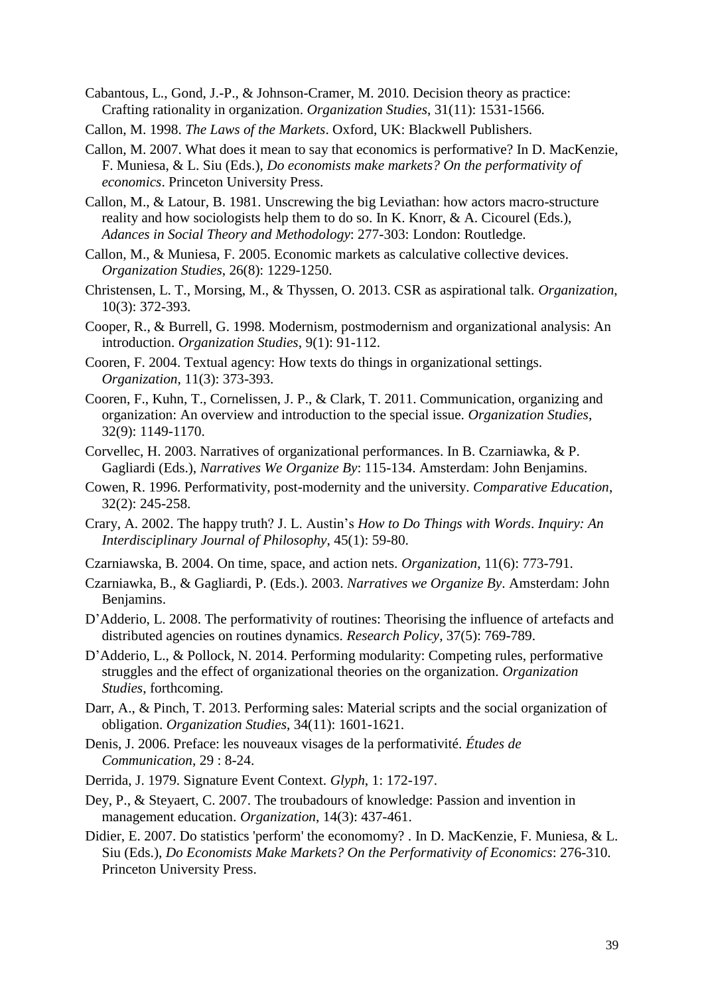Cabantous, L., Gond, J.-P., & Johnson-Cramer, M. 2010. Decision theory as practice: Crafting rationality in organization. *Organization Studies*, 31(11): 1531-1566.

Callon, M. 1998. *The Laws of the Markets*. Oxford, UK: Blackwell Publishers.

- Callon, M. 2007. What does it mean to say that economics is performative? In D. MacKenzie, F. Muniesa, & L. Siu (Eds.), *Do economists make markets? On the performativity of economics*. Princeton University Press.
- Callon, M., & Latour, B. 1981. Unscrewing the big Leviathan: how actors macro-structure reality and how sociologists help them to do so. In K. Knorr, & A. Cicourel (Eds.), *Adances in Social Theory and Methodology*: 277-303: London: Routledge.
- Callon, M., & Muniesa, F. 2005. Economic markets as calculative collective devices. *Organization Studies*, 26(8): 1229-1250.
- Christensen, L. T., Morsing, M., & Thyssen, O. 2013. CSR as aspirational talk. *Organization*, 10(3): 372-393.
- Cooper, R., & Burrell, G. 1998. Modernism, postmodernism and organizational analysis: An introduction. *Organization Studies*, 9(1): 91-112.
- Cooren, F. 2004. Textual agency: How texts do things in organizational settings. *Organization*, 11(3): 373-393.
- Cooren, F., Kuhn, T., Cornelissen, J. P., & Clark, T. 2011. Communication, organizing and organization: An overview and introduction to the special issue. *Organization Studies*, 32(9): 1149-1170.
- Corvellec, H. 2003. Narratives of organizational performances. In B. Czarniawka, & P. Gagliardi (Eds.), *Narratives We Organize By*: 115-134. Amsterdam: John Benjamins.
- Cowen, R. 1996. Performativity, post-modernity and the university. *Comparative Education*, 32(2): 245-258.
- Crary, A. 2002. The happy truth? J. L. Austin's *How to Do Things with Words*. *Inquiry: An Interdisciplinary Journal of Philosophy*, 45(1): 59-80.
- Czarniawska, B. 2004. On time, space, and action nets. *Organization*, 11(6): 773-791.
- Czarniawka, B., & Gagliardi, P. (Eds.). 2003. *Narratives we Organize By*. Amsterdam: John Benjamins.
- D'Adderio, L. 2008. The performativity of routines: Theorising the influence of artefacts and distributed agencies on routines dynamics. *Research Policy*, 37(5): 769-789.
- D'Adderio, L., & Pollock, N. 2014. Performing modularity: Competing rules, performative struggles and the effect of organizational theories on the organization. *Organization Studies*, forthcoming.
- Darr, A., & Pinch, T. 2013. Performing sales: Material scripts and the social organization of obligation. *Organization Studies*, 34(11): 1601-1621.
- Denis, J. 2006. Preface: les nouveaux visages de la performativité. *Études de Communication*, 29 : 8-24.
- Derrida, J. 1979. Signature Event Context. *Glyph*, 1: 172-197.
- Dey, P., & Steyaert, C. 2007. The troubadours of knowledge: Passion and invention in management education. *Organization*, 14(3): 437-461.
- Didier, E. 2007. Do statistics 'perform' the economomy? . In D. MacKenzie, F. Muniesa, & L. Siu (Eds.), *Do Economists Make Markets? On the Performativity of Economics*: 276-310. Princeton University Press.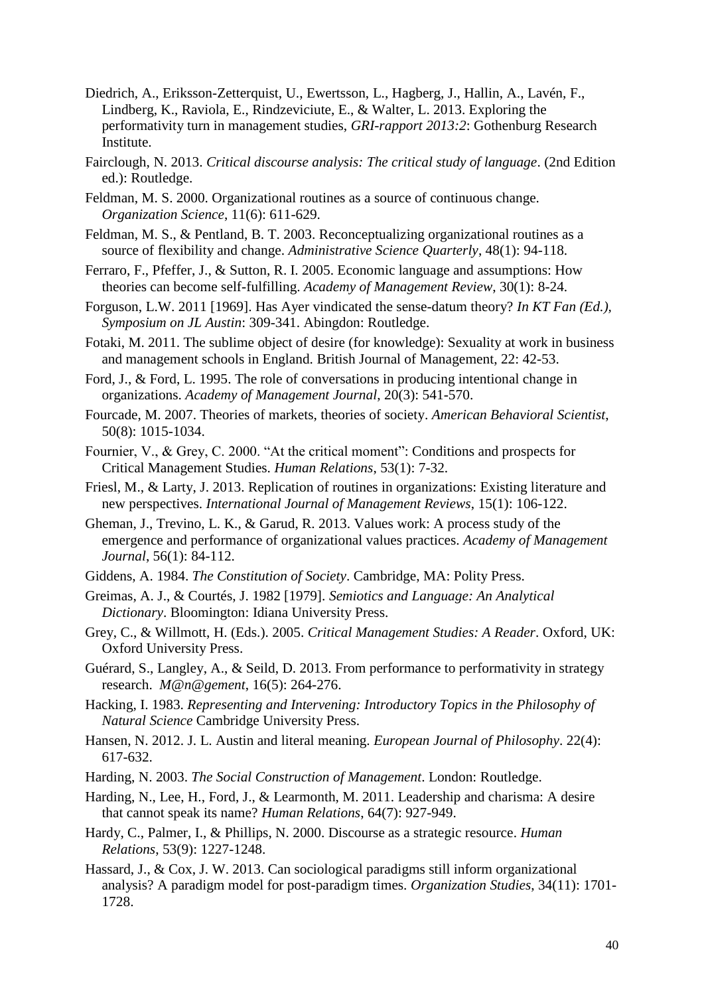- Diedrich, A., Eriksson-Zetterquist, U., Ewertsson, L., Hagberg, J., Hallin, A., Lavén, F., Lindberg, K., Raviola, E., Rindzeviciute, E., & Walter, L. 2013. Exploring the performativity turn in management studies, *GRI-rapport 2013:2*: Gothenburg Research Institute.
- Fairclough, N. 2013. *Critical discourse analysis: The critical study of language*. (2nd Edition ed.): Routledge.
- Feldman, M. S. 2000. Organizational routines as a source of continuous change. *Organization Science*, 11(6): 611-629.
- Feldman, M. S., & Pentland, B. T. 2003. Reconceptualizing organizational routines as a source of flexibility and change. *Administrative Science Quarterly*, 48(1): 94-118.
- Ferraro, F., Pfeffer, J., & Sutton, R. I. 2005. Economic language and assumptions: How theories can become self-fulfilling. *Academy of Management Review*, 30(1): 8-24.
- Forguson, L.W. 2011 [1969]. Has Ayer vindicated the sense-datum theory? *In KT Fan (Ed.), Symposium on JL Austin*: 309-341. Abingdon: Routledge.
- Fotaki, M. 2011. The sublime object of desire (for knowledge): Sexuality at work in business and management schools in England. British Journal of Management, 22: 42-53.
- Ford, J., & Ford, L. 1995. The role of conversations in producing intentional change in organizations. *Academy of Management Journal*, 20(3): 541-570.
- Fourcade, M. 2007. Theories of markets, theories of society. *American Behavioral Scientist*, 50(8): 1015-1034.
- Fournier, V., & Grey, C. 2000. "At the critical moment": Conditions and prospects for Critical Management Studies. *Human Relations*, 53(1): 7-32.
- Friesl, M., & Larty, J. 2013. Replication of routines in organizations: Existing literature and new perspectives. *International Journal of Management Reviews*, 15(1): 106-122.
- Gheman, J., Trevino, L. K., & Garud, R. 2013. Values work: A process study of the emergence and performance of organizational values practices. *Academy of Management Journal*, 56(1): 84-112.
- Giddens, A. 1984. *The Constitution of Society*. Cambridge, MA: Polity Press.
- Greimas, A. J., & Courtés, J. 1982 [1979]. *Semiotics and Language: An Analytical Dictionary*. Bloomington: Idiana University Press.
- Grey, C., & Willmott, H. (Eds.). 2005. *Critical Management Studies: A Reader*. Oxford, UK: Oxford University Press.
- Guérard, S., Langley, A., & Seild, D. 2013. From performance to performativity in strategy research. *M@n@gement*, 16(5): 264-276.
- Hacking, I. 1983. *Representing and Intervening: Introductory Topics in the Philosophy of Natural Science* Cambridge University Press.
- Hansen, N. 2012. J. L. Austin and literal meaning. *European Journal of Philosophy*. 22(4): 617-632.
- Harding, N. 2003. *The Social Construction of Management*. London: Routledge.
- Harding, N., Lee, H., Ford, J., & Learmonth, M. 2011. Leadership and charisma: A desire that cannot speak its name? *Human Relations*, 64(7): 927-949.
- Hardy, C., Palmer, I., & Phillips, N. 2000. Discourse as a strategic resource. *Human Relations*, 53(9): 1227-1248.
- Hassard, J., & Cox, J. W. 2013. Can sociological paradigms still inform organizational analysis? A paradigm model for post-paradigm times. *Organization Studies*, 34(11): 1701- 1728.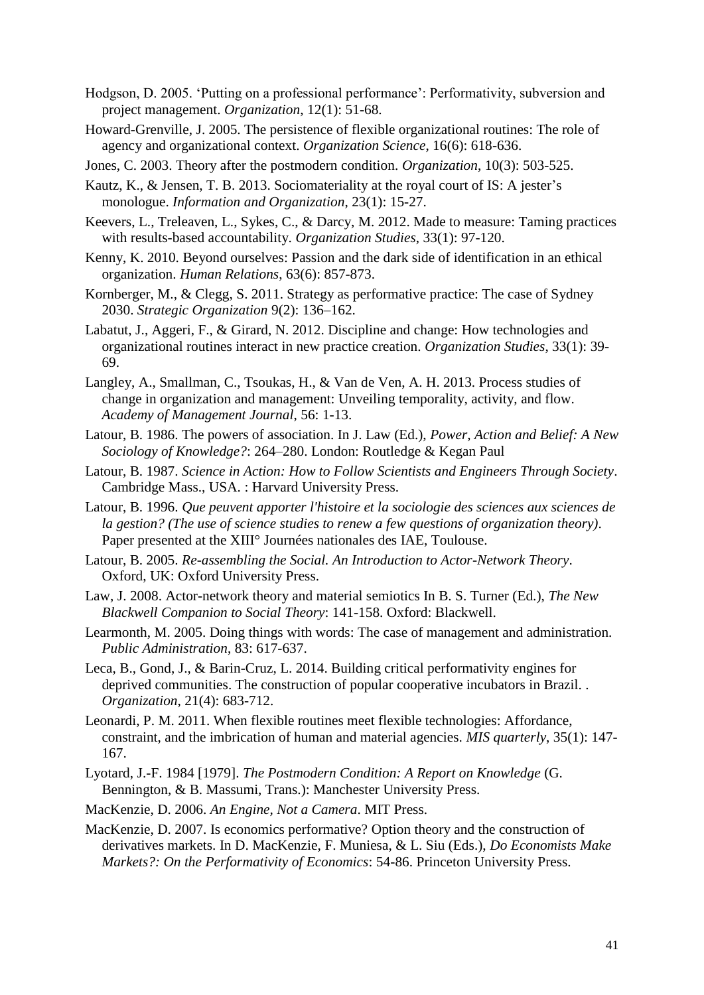- Hodgson, D. 2005. 'Putting on a professional performance': Performativity, subversion and project management. *Organization*, 12(1): 51-68.
- Howard-Grenville, J. 2005. The persistence of flexible organizational routines: The role of agency and organizational context. *Organization Science*, 16(6): 618-636.
- Jones, C. 2003. Theory after the postmodern condition. *Organization*, 10(3): 503-525.
- Kautz, K., & Jensen, T. B. 2013. Sociomateriality at the royal court of IS: A jester's monologue. *Information and Organization*, 23(1): 15-27.
- Keevers, L., Treleaven, L., Sykes, C., & Darcy, M. 2012. Made to measure: Taming practices with results-based accountability. *Organization Studies*, 33(1): 97-120.
- Kenny, K. 2010. Beyond ourselves: Passion and the dark side of identification in an ethical organization. *Human Relations*, 63(6): 857-873.
- Kornberger, M., & Clegg, S. 2011. Strategy as performative practice: The case of Sydney 2030. *Strategic Organization* 9(2): 136–162.
- Labatut, J., Aggeri, F., & Girard, N. 2012. Discipline and change: How technologies and organizational routines interact in new practice creation. *Organization Studies*, 33(1): 39- 69.
- Langley, A., Smallman, C., Tsoukas, H., & Van de Ven, A. H. 2013. Process studies of change in organization and management: Unveiling temporality, activity, and flow. *Academy of Management Journal*, 56: 1-13.
- Latour, B. 1986. The powers of association. In J. Law (Ed.), *Power, Action and Belief: A New Sociology of Knowledge?*: 264–280. London: Routledge & Kegan Paul
- Latour, B. 1987. *Science in Action: How to Follow Scientists and Engineers Through Society*. Cambridge Mass., USA. : Harvard University Press.
- Latour, B. 1996. *Que peuvent apporter l'histoire et la sociologie des sciences aux sciences de la gestion? (The use of science studies to renew a few questions of organization theory)*. Paper presented at the XIII° Journées nationales des IAE, Toulouse.
- Latour, B. 2005. *Re-assembling the Social. An Introduction to Actor-Network Theory*. Oxford, UK: Oxford University Press.
- Law, J. 2008. Actor-network theory and material semiotics In B. S. Turner (Ed.), *The New Blackwell Companion to Social Theory*: 141-158. Oxford: Blackwell.
- Learmonth, M. 2005. Doing things with words: The case of management and administration. *Public Administration*, 83: 617-637.
- Leca, B., Gond, J., & Barin-Cruz, L. 2014. Building critical performativity engines for deprived communities. The construction of popular cooperative incubators in Brazil. . *Organization*, 21(4): 683-712.
- Leonardi, P. M. 2011. When flexible routines meet flexible technologies: Affordance, constraint, and the imbrication of human and material agencies. *MIS quarterly*, 35(1): 147- 167.
- Lyotard, J.-F. 1984 [1979]. *The Postmodern Condition: A Report on Knowledge* (G. Bennington, & B. Massumi, Trans.): Manchester University Press.
- MacKenzie, D. 2006. *An Engine, Not a Camera*. MIT Press.
- MacKenzie, D. 2007. Is economics performative? Option theory and the construction of derivatives markets. In D. MacKenzie, F. Muniesa, & L. Siu (Eds.), *Do Economists Make Markets?: On the Performativity of Economics*: 54-86. Princeton University Press.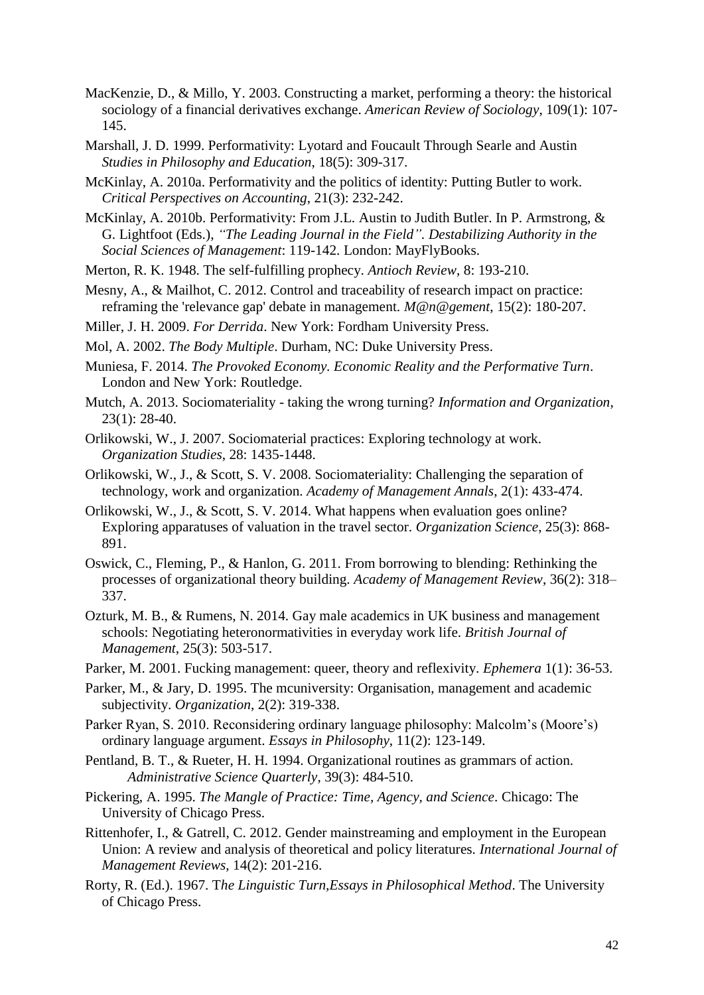- MacKenzie, D., & Millo, Y. 2003. Constructing a market, performing a theory: the historical sociology of a financial derivatives exchange. *American Review of Sociology*, 109(1): 107- 145.
- Marshall, J. D. 1999. Performativity: Lyotard and Foucault Through Searle and Austin *Studies in Philosophy and Education*, 18(5): 309-317.
- McKinlay, A. 2010a. Performativity and the politics of identity: Putting Butler to work. *Critical Perspectives on Accounting*, 21(3): 232-242.
- McKinlay, A. 2010b. Performativity: From J.L. Austin to Judith Butler. In P. Armstrong, & G. Lightfoot (Eds.), *"The Leading Journal in the Field". Destabilizing Authority in the Social Sciences of Management*: 119-142. London: MayFlyBooks.
- Merton, R. K. 1948. The self-fulfilling prophecy. *Antioch Review*, 8: 193-210.
- Mesny, A., & Mailhot, C. 2012. Control and traceability of research impact on practice: reframing the 'relevance gap' debate in management. *M@n@gement*, 15(2): 180-207.
- Miller, J. H. 2009. *For Derrida*. New York: Fordham University Press.
- Mol, A. 2002. *The Body Multiple*. Durham, NC: Duke University Press.
- Muniesa, F. 2014. *The Provoked Economy. Economic Reality and the Performative Turn*. London and New York: Routledge.
- Mutch, A. 2013. Sociomateriality taking the wrong turning? *Information and Organization*, 23(1): 28-40.
- Orlikowski, W., J. 2007. Sociomaterial practices: Exploring technology at work. *Organization Studies*, 28: 1435-1448.
- Orlikowski, W., J., & Scott, S. V. 2008. Sociomateriality: Challenging the separation of technology, work and organization. *Academy of Management Annals*, 2(1): 433-474.
- Orlikowski, W., J., & Scott, S. V. 2014. What happens when evaluation goes online? Exploring apparatuses of valuation in the travel sector. *Organization Science*, 25(3): 868- 891.
- Oswick, C., Fleming, P., & Hanlon, G. 2011. From borrowing to blending: Rethinking the processes of organizational theory building. *Academy of Management Review*, 36(2): 318– 337.
- Ozturk, M. B., & Rumens, N. 2014. Gay male academics in UK business and management schools: Negotiating heteronormativities in everyday work life. *British Journal of Management*, 25(3): 503-517.
- Parker, M. 2001. Fucking management: queer, theory and reflexivity. *Ephemera* 1(1): 36-53.
- Parker, M., & Jary, D. 1995. The mcuniversity: Organisation, management and academic subjectivity. *Organization*, 2(2): 319-338.
- Parker Ryan, S. 2010. Reconsidering ordinary language philosophy: Malcolm's (Moore's) ordinary language argument. *Essays in Philosophy*, 11(2): 123-149.
- Pentland, B. T., & Rueter, H. H. 1994. Organizational routines as grammars of action. *Administrative Science Quarterly*, 39(3): 484-510.
- Pickering, A. 1995. *The Mangle of Practice: Time, Agency, and Science*. Chicago: The University of Chicago Press.
- Rittenhofer, I., & Gatrell, C. 2012. Gender mainstreaming and employment in the European Union: A review and analysis of theoretical and policy literatures. *International Journal of Management Reviews*, 14(2): 201-216.
- Rorty, R. (Ed.). 1967. T*he Linguistic Turn,Essays in Philosophical Method*. The University of Chicago Press.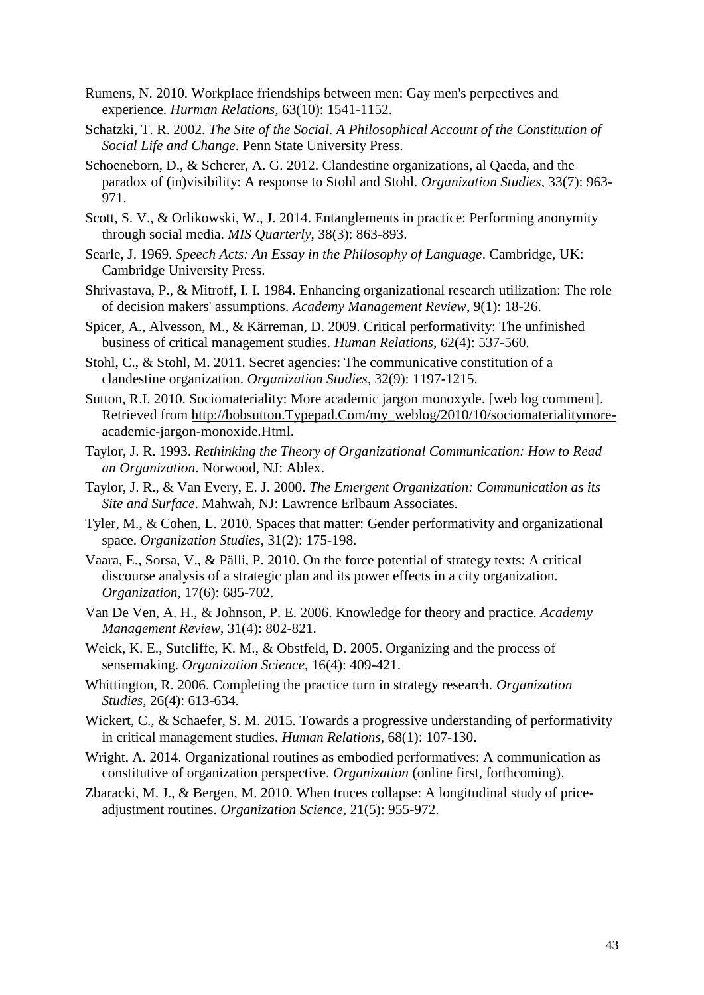- Rumens, N. 2010. Workplace friendships between men: Gay men's perpectives and experience. *Hurman Relations*, 63(10): 1541-1152.
- Schatzki, T. R. 2002. *The Site of the Social. A Philosophical Account of the Constitution of Social Life and Change*. Penn State University Press.
- Schoeneborn, D., & Scherer, A. G. 2012. Clandestine organizations, al Qaeda, and the paradox of (in)visibility: A response to Stohl and Stohl. *Organization Studies*, 33(7): 963- 971.
- Scott, S. V., & Orlikowski, W., J. 2014. Entanglements in practice: Performing anonymity through social media. *MIS Quarterly*, 38(3): 863-893.
- Searle, J. 1969. *Speech Acts: An Essay in the Philosophy of Language*. Cambridge, UK: Cambridge University Press.
- Shrivastava, P., & Mitroff, I. I. 1984. Enhancing organizational research utilization: The role of decision makers' assumptions. *Academy Management Review*, 9(1): 18-26.
- Spicer, A., Alvesson, M., & Kärreman, D. 2009. Critical performativity: The unfinished business of critical management studies. *Human Relations*, 62(4): 537-560.
- Stohl, C., & Stohl, M. 2011. Secret agencies: The communicative constitution of a clandestine organization. *Organization Studies*, 32(9): 1197-1215.
- Sutton, R.I. 2010. Sociomateriality: More academic jargon monoxyde. [web log comment]. Retrieved from [http://bobsutton.Typepad.Com/my\\_weblog/2010/10/sociomaterialitymore](http://bobsutton.typepad.com/my_weblog/2010/10/sociomaterialitymore-academic-jargon-monoxide.Html)[academic-jargon-monoxide.Html.](http://bobsutton.typepad.com/my_weblog/2010/10/sociomaterialitymore-academic-jargon-monoxide.Html)
- Taylor, J. R. 1993. *Rethinking the Theory of Organizational Communication: How to Read an Organization*. Norwood, NJ: Ablex.
- Taylor, J. R., & Van Every, E. J. 2000. *The Emergent Organization: Communication as its Site and Surface*. Mahwah, NJ: Lawrence Erlbaum Associates.
- Tyler, M., & Cohen, L. 2010. Spaces that matter: Gender performativity and organizational space. *Organization Studies*, 31(2): 175-198.
- Vaara, E., Sorsa, V., & Pälli, P. 2010. On the force potential of strategy texts: A critical discourse analysis of a strategic plan and its power effects in a city organization. *Organization*, 17(6): 685-702.
- Van De Ven, A. H., & Johnson, P. E. 2006. Knowledge for theory and practice. *Academy Management Review*, 31(4): 802-821.
- Weick, K. E., Sutcliffe, K. M., & Obstfeld, D. 2005. Organizing and the process of sensemaking. *Organization Science*, 16(4): 409-421.
- Whittington, R. 2006. Completing the practice turn in strategy research. *Organization Studies*, 26(4): 613-634.
- Wickert, C., & Schaefer, S. M. 2015. Towards a progressive understanding of performativity in critical management studies. *Human Relations*, 68(1): 107-130.
- Wright, A. 2014. Organizational routines as embodied performatives: A communication as constitutive of organization perspective. *Organization* (online first, forthcoming).
- Zbaracki, M. J., & Bergen, M. 2010. When truces collapse: A longitudinal study of priceadjustment routines. *Organization Science*, 21(5): 955-972.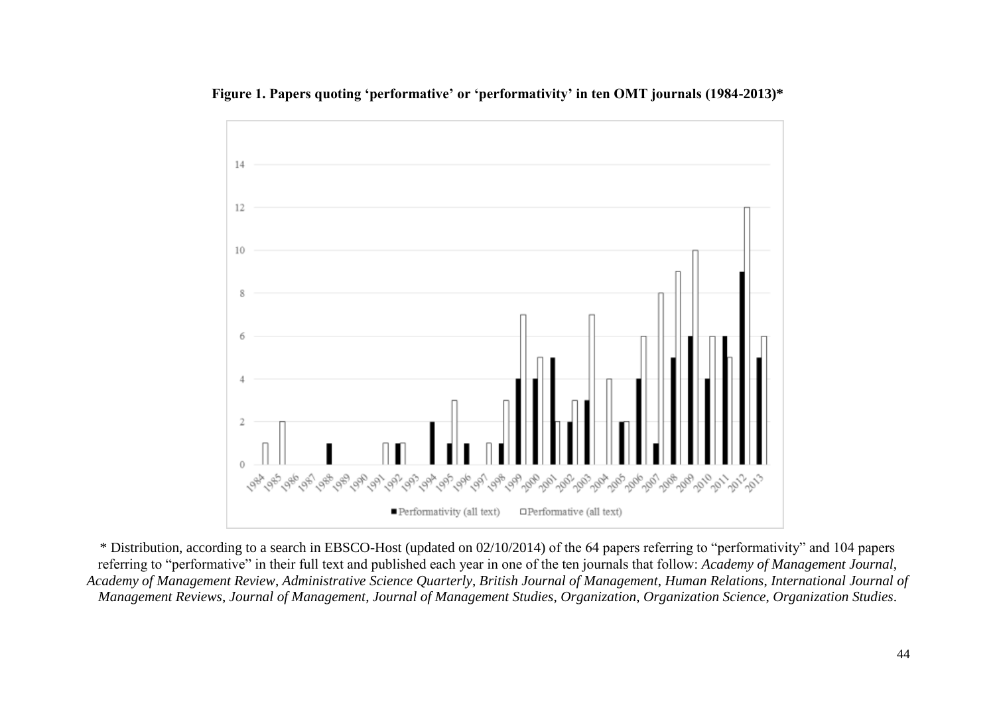

**Figure 1. Papers quoting 'performative' or 'performativity' in ten OMT journals (1984-2013)\***

\* Distribution, according to a search in EBSCO-Host (updated on 02/10/2014) of the 64 papers referring to "performativity" and 104 papers referring to "performative" in their full text and published each year in one of the ten journals that follow: *Academy of Management Journal*, *Academy of Management Review*, *Administrative Science Quarterly*, *British Journal of Management*, *Human Relations*, *International Journal of Management Reviews*, *Journal of Management*, *Journal of Management Studies*, *Organization*, *Organization Science*, *Organization Studies*.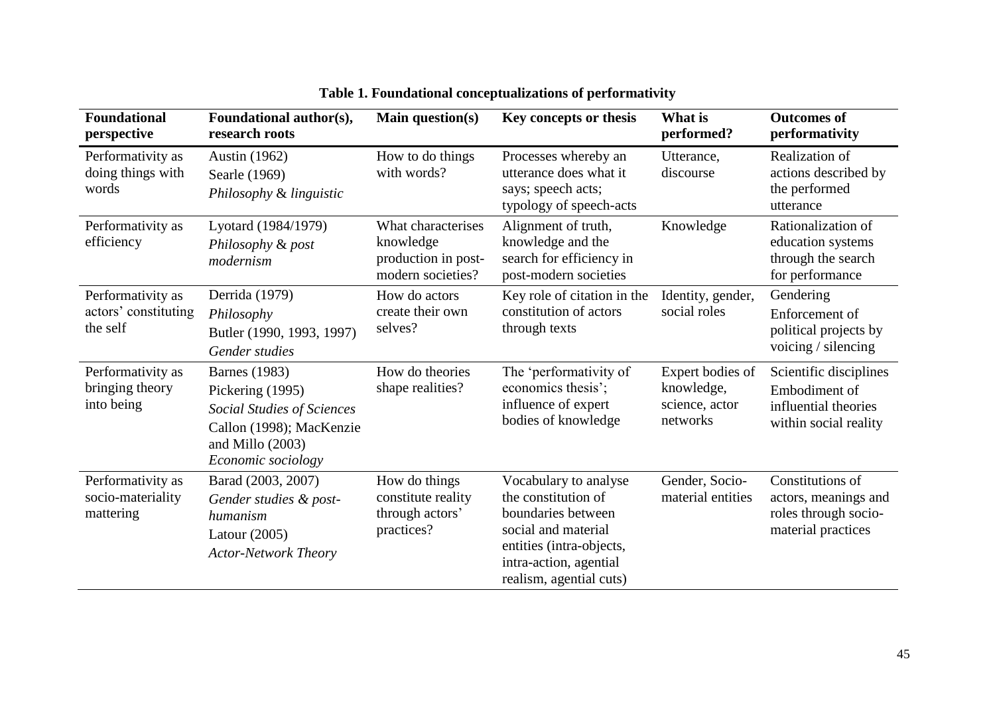| <b>Foundational</b><br>perspective                    | Foundational author(s),<br>research roots                                                                                                    | <b>Main question(s)</b>                                                     | Key concepts or thesis                                                                                                                                                     | What is<br>performed?                                        | <b>Outcomes of</b><br>performativity                                                     |
|-------------------------------------------------------|----------------------------------------------------------------------------------------------------------------------------------------------|-----------------------------------------------------------------------------|----------------------------------------------------------------------------------------------------------------------------------------------------------------------------|--------------------------------------------------------------|------------------------------------------------------------------------------------------|
| Performativity as<br>doing things with<br>words       | <b>Austin</b> (1962)<br>Searle (1969)<br>Philosophy & linguistic                                                                             | How to do things<br>with words?                                             | Processes whereby an<br>utterance does what it<br>says; speech acts;<br>typology of speech-acts                                                                            | Utterance,<br>discourse                                      | Realization of<br>actions described by<br>the performed<br>utterance                     |
| Performativity as<br>efficiency                       | Lyotard (1984/1979)<br>Philosophy & post<br>modernism                                                                                        | What characterises<br>knowledge<br>production in post-<br>modern societies? | Alignment of truth,<br>knowledge and the<br>search for efficiency in<br>post-modern societies                                                                              | Knowledge                                                    | Rationalization of<br>education systems<br>through the search<br>for performance         |
| Performativity as<br>actors' constituting<br>the self | Derrida (1979)<br>Philosophy<br>Butler (1990, 1993, 1997)<br>Gender studies                                                                  | How do actors<br>create their own<br>selves?                                | Key role of citation in the<br>constitution of actors<br>through texts                                                                                                     | Identity, gender,<br>social roles                            | Gendering<br>Enforcement of<br>political projects by<br>voicing / silencing              |
| Performativity as<br>bringing theory<br>into being    | <b>Barnes</b> (1983)<br>Pickering (1995)<br>Social Studies of Sciences<br>Callon (1998); MacKenzie<br>and Millo (2003)<br>Economic sociology | How do theories<br>shape realities?                                         | The 'performativity of<br>economics thesis';<br>influence of expert<br>bodies of knowledge                                                                                 | Expert bodies of<br>knowledge,<br>science, actor<br>networks | Scientific disciplines<br>Embodiment of<br>influential theories<br>within social reality |
| Performativity as<br>socio-materiality<br>mattering   | Barad (2003, 2007)<br>Gender studies & post-<br>humanism<br>Latour $(2005)$<br><b>Actor-Network Theory</b>                                   | How do things<br>constitute reality<br>through actors'<br>practices?        | Vocabulary to analyse<br>the constitution of<br>boundaries between<br>social and material<br>entities (intra-objects,<br>intra-action, agential<br>realism, agential cuts) | Gender, Socio-<br>material entities                          | Constitutions of<br>actors, meanings and<br>roles through socio-<br>material practices   |

# **Table 1. Foundational conceptualizations of performativity**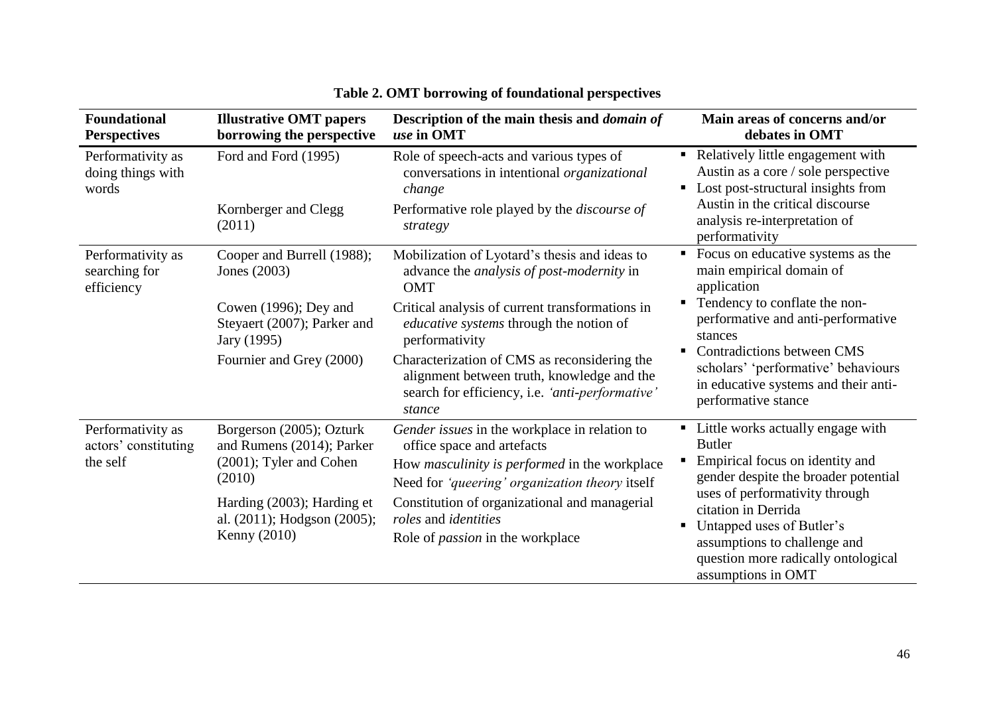| <b>Foundational</b><br><b>Perspectives</b>                                                                                                                                          | <b>Illustrative OMT papers</b><br>borrowing the perspective                                | Description of the main thesis and <i>domain of</i><br>use in OMT                                                                                                              | Main areas of concerns and/or<br>debates in OMT                                                                                                                                                       |  |
|-------------------------------------------------------------------------------------------------------------------------------------------------------------------------------------|--------------------------------------------------------------------------------------------|--------------------------------------------------------------------------------------------------------------------------------------------------------------------------------|-------------------------------------------------------------------------------------------------------------------------------------------------------------------------------------------------------|--|
| Performativity as<br>doing things with<br>words                                                                                                                                     | Ford and Ford (1995)                                                                       | Role of speech-acts and various types of<br>conversations in intentional <i>organizational</i><br>change                                                                       | Relatively little engagement with<br>Austin as a core / sole perspective<br>Lost post-structural insights from<br>Austin in the critical discourse<br>analysis re-interpretation of<br>performativity |  |
|                                                                                                                                                                                     | Kornberger and Clegg<br>(2011)                                                             | Performative role played by the <i>discourse of</i><br>strategy                                                                                                                |                                                                                                                                                                                                       |  |
| Performativity as<br>searching for<br>efficiency                                                                                                                                    | Cooper and Burrell (1988);<br>Jones (2003)                                                 | Mobilization of Lyotard's thesis and ideas to<br>advance the <i>analysis of post-modernity</i> in<br><b>OMT</b>                                                                | • Focus on educative systems as the<br>main empirical domain of<br>application                                                                                                                        |  |
|                                                                                                                                                                                     | Cowen (1996); Dey and<br>Steyaert (2007); Parker and<br>Jary (1995)                        | Critical analysis of current transformations in<br>educative systems through the notion of<br>performativity                                                                   | Tendency to conflate the non-<br>performative and anti-performative<br>stances                                                                                                                        |  |
| Fournier and Grey (2000)<br>Characterization of CMS as reconsidering the<br>alignment between truth, knowledge and the<br>search for efficiency, i.e. 'anti-performative'<br>stance |                                                                                            | Contradictions between CMS<br>scholars' 'performative' behaviours<br>in educative systems and their anti-<br>performative stance                                               |                                                                                                                                                                                                       |  |
| Performativity as<br>actors' constituting<br>the self                                                                                                                               | Borgerson (2005); Ozturk<br>and Rumens (2014); Parker<br>(2001); Tyler and Cohen<br>(2010) | Gender issues in the workplace in relation to<br>office space and artefacts<br>How masculinity is performed in the workplace<br>Need for 'queering' organization theory itself | Little works actually engage with<br>$\blacksquare$<br><b>Butler</b><br>Empirical focus on identity and<br>gender despite the broader potential                                                       |  |
|                                                                                                                                                                                     | Harding (2003); Harding et<br>al. (2011); Hodgson (2005);<br>Kenny (2010)                  | Constitution of organizational and managerial<br>roles and <i>identities</i><br>Role of <i>passion</i> in the workplace                                                        | uses of performativity through<br>citation in Derrida<br>Untapped uses of Butler's<br>assumptions to challenge and<br>question more radically ontological<br>assumptions in OMT                       |  |

# **Table 2. OMT borrowing of foundational perspectives**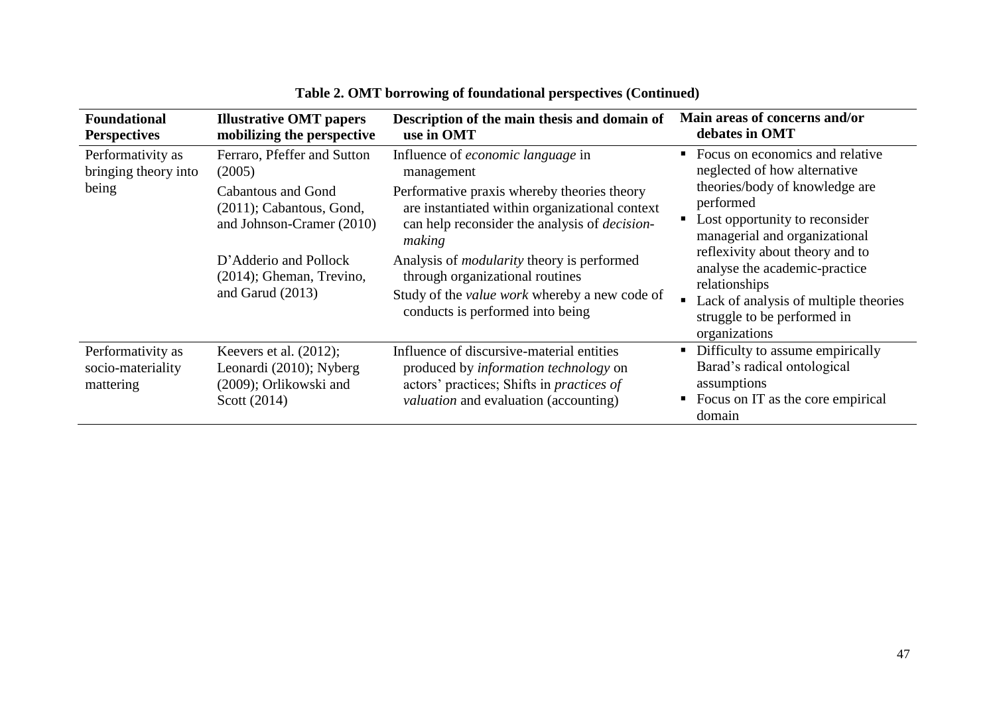| <b>Foundational</b><br><b>Perspectives</b>          | <b>Illustrative OMT papers</b><br>mobilizing the perspective                                                                                                                                                 | Description of the main thesis and domain of<br>use in OMT                                                                                                                                                                                                                                                                                                                                              | Main areas of concerns and/or<br>debates in OMT                                                                                                                                                                                                                                                                                                                       |
|-----------------------------------------------------|--------------------------------------------------------------------------------------------------------------------------------------------------------------------------------------------------------------|---------------------------------------------------------------------------------------------------------------------------------------------------------------------------------------------------------------------------------------------------------------------------------------------------------------------------------------------------------------------------------------------------------|-----------------------------------------------------------------------------------------------------------------------------------------------------------------------------------------------------------------------------------------------------------------------------------------------------------------------------------------------------------------------|
| Performativity as<br>bringing theory into<br>being  | Ferraro, Pfeffer and Sutton<br>(2005)<br><b>Cabantous and Gond</b><br>$(2011)$ ; Cabantous, Gond,<br>and Johnson-Cramer (2010)<br>D'Adderio and Pollock<br>$(2014)$ ; Gheman, Trevino,<br>and Garud $(2013)$ | Influence of economic language in<br>management<br>Performative praxis whereby theories theory<br>are instantiated within organizational context<br>can help reconsider the analysis of <i>decision</i> -<br>making<br>Analysis of <i>modularity</i> theory is performed<br>through organizational routines<br>Study of the <i>value work</i> whereby a new code of<br>conducts is performed into being | • Focus on economics and relative<br>neglected of how alternative<br>theories/body of knowledge are<br>performed<br>• Lost opportunity to reconsider<br>managerial and organizational<br>reflexivity about theory and to<br>analyse the academic-practice<br>relationships<br>• Lack of analysis of multiple theories<br>struggle to be performed in<br>organizations |
| Performativity as<br>socio-materiality<br>mattering | Keevers et al. $(2012)$ ;<br>Leonardi (2010); Nyberg<br>(2009); Orlikowski and<br>Scott (2014)                                                                                                               | Influence of discursive-material entities<br>produced by <i>information technology</i> on<br>actors' practices; Shifts in <i>practices of</i><br><i>valuation</i> and evaluation (accounting)                                                                                                                                                                                                           | • Difficulty to assume empirically<br>Barad's radical ontological<br>assumptions<br>• Focus on IT as the core empirical<br>domain                                                                                                                                                                                                                                     |

### **Table 2. OMT borrowing of foundational perspectives (Continued)**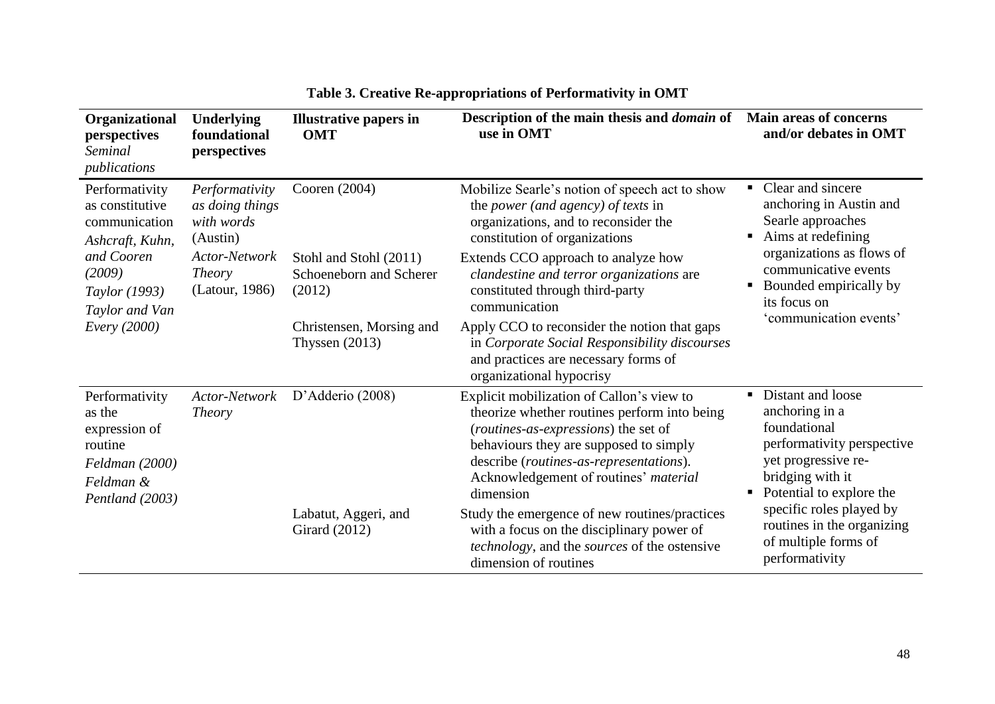| Organizational<br>perspectives<br>Seminal<br>publications                                              | Underlying<br>foundational<br>perspectives                  | <b>Illustrative papers in</b><br><b>OMT</b>                 | Description of the main thesis and <i>domain</i> of<br>use in OMT                                                                                                                                                                                                            | Main areas of concerns<br>and/or debates in OMT                                                                                                                                  |
|--------------------------------------------------------------------------------------------------------|-------------------------------------------------------------|-------------------------------------------------------------|------------------------------------------------------------------------------------------------------------------------------------------------------------------------------------------------------------------------------------------------------------------------------|----------------------------------------------------------------------------------------------------------------------------------------------------------------------------------|
| Performativity<br>as constitutive<br>communication<br>Ashcraft, Kuhn,                                  | Performativity<br>as doing things<br>with words<br>(Austin) | Cooren (2004)                                               | Mobilize Searle's notion of speech act to show<br>the <i>power</i> (and agency) of texts in<br>organizations, and to reconsider the<br>constitution of organizations                                                                                                         | Clear and sincere<br>$\blacksquare$<br>anchoring in Austin and<br>Searle approaches<br>Aims at redefining<br>ш                                                                   |
| and Cooren<br>(2009)<br>Taylor (1993)<br>Taylor and Van                                                | Actor-Network<br><i>Theory</i><br>(Latour, 1986)            | Stohl and Stohl (2011)<br>Schoeneborn and Scherer<br>(2012) | Extends CCO approach to analyze how<br>clandestine and terror organizations are<br>constituted through third-party<br>communication                                                                                                                                          | organizations as flows of<br>communicative events<br>Bounded empirically by<br>Π<br>its focus on                                                                                 |
| <i>Every</i> (2000)                                                                                    |                                                             | Christensen, Morsing and<br>Thyssen $(2013)$                | Apply CCO to reconsider the notion that gaps<br>in Corporate Social Responsibility discourses<br>and practices are necessary forms of<br>organizational hypocrisy                                                                                                            | 'communication events'                                                                                                                                                           |
| Performativity<br>as the<br>expression of<br>routine<br>Feldman (2000)<br>Feldman &<br>Pentland (2003) | Actor-Network<br><b>Theory</b>                              | D'Adderio (2008)                                            | Explicit mobilization of Callon's view to<br>theorize whether routines perform into being<br>(routines-as-expressions) the set of<br>behaviours they are supposed to simply<br>describe (routines-as-representations).<br>Acknowledgement of routines' material<br>dimension | Distant and loose<br>$\blacksquare$<br>anchoring in a<br>foundational<br>performativity perspective<br>yet progressive re-<br>bridging with it<br>Potential to explore the<br>п. |
|                                                                                                        |                                                             | Labatut, Aggeri, and<br>Girard (2012)                       | Study the emergence of new routines/practices<br>with a focus on the disciplinary power of<br>technology, and the sources of the ostensive<br>dimension of routines                                                                                                          | specific roles played by<br>routines in the organizing<br>of multiple forms of<br>performativity                                                                                 |

**Table 3. Creative Re-appropriations of Performativity in OMT**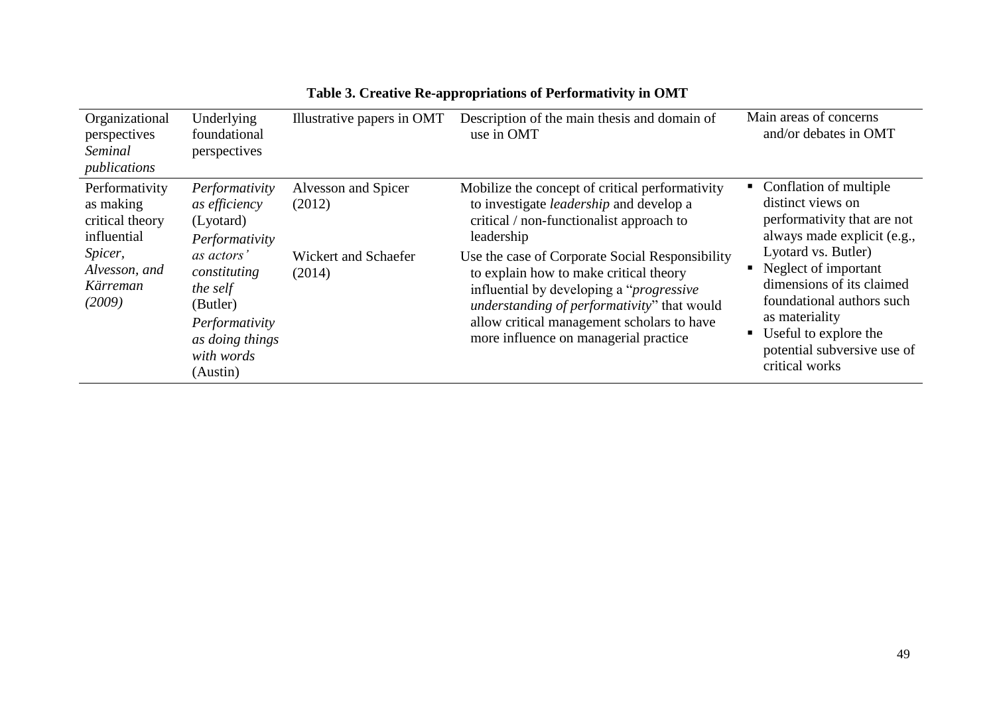| Organizational<br>perspectives<br>Seminal<br>publications                                                       | Underlying<br>foundational<br>perspectives                                                                                                                                                 | Illustrative papers in OMT                                      | Description of the main thesis and domain of<br>use in OMT                                                                                                                                                                                                                                                                                                                                                                                         | Main areas of concerns<br>and/or debates in OMT                                                                                                                                                                                                                                                                                  |
|-----------------------------------------------------------------------------------------------------------------|--------------------------------------------------------------------------------------------------------------------------------------------------------------------------------------------|-----------------------------------------------------------------|----------------------------------------------------------------------------------------------------------------------------------------------------------------------------------------------------------------------------------------------------------------------------------------------------------------------------------------------------------------------------------------------------------------------------------------------------|----------------------------------------------------------------------------------------------------------------------------------------------------------------------------------------------------------------------------------------------------------------------------------------------------------------------------------|
| Performativity<br>as making<br>critical theory<br>influential<br>Spicer,<br>Alvesson, and<br>Kärreman<br>(2009) | Performativity<br>as efficiency<br>(Lyotard)<br>Performativity<br>as actors'<br>constituting<br><i>the self</i><br>(Butler)<br>Performativity<br>as doing things<br>with words<br>(Austin) | Alvesson and Spicer<br>(2012)<br>Wickert and Schaefer<br>(2014) | Mobilize the concept of critical performativity<br>to investigate <i>leadership</i> and develop a<br>critical / non-functionalist approach to<br>leadership<br>Use the case of Corporate Social Responsibility<br>to explain how to make critical theory<br>influential by developing a " <i>progressive</i><br>understanding of performativity" that would<br>allow critical management scholars to have<br>more influence on managerial practice | Conflation of multiple<br>$\blacksquare$<br>distinct views on<br>performativity that are not<br>always made explicit (e.g.,<br>Lyotard vs. Butler)<br>Neglect of important<br>dimensions of its claimed<br>foundational authors such<br>as materiality<br>Useful to explore the<br>potential subversive use of<br>critical works |

### **Table 3. Creative Re-appropriations of Performativity in OMT**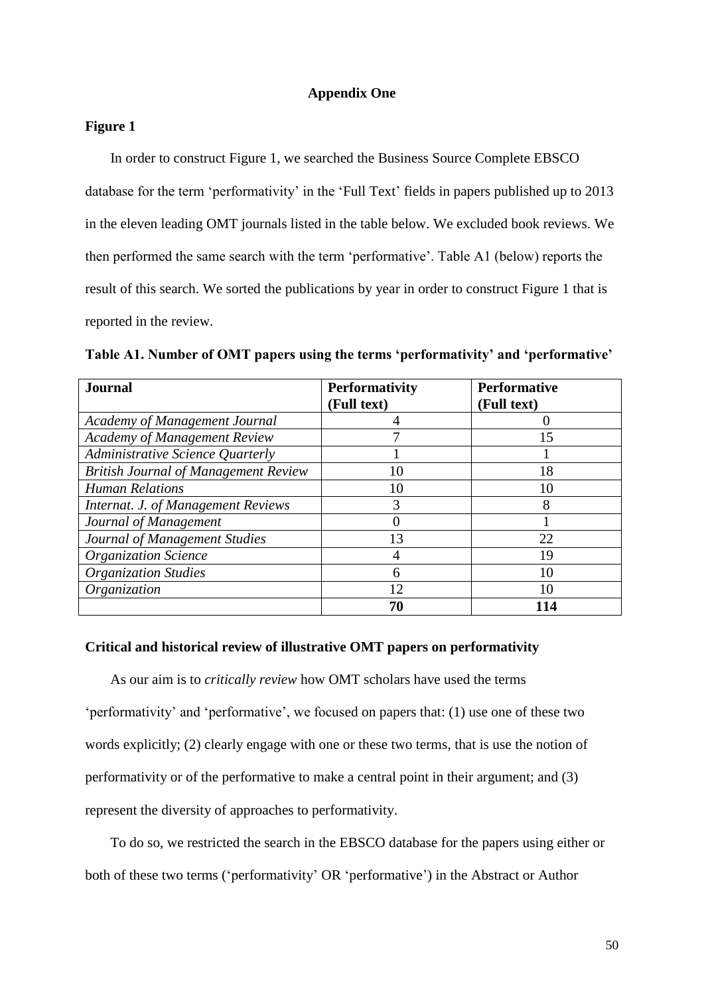#### **Appendix One**

#### **Figure 1**

In order to construct Figure 1, we searched the Business Source Complete EBSCO database for the term 'performativity' in the 'Full Text' fields in papers published up to 2013 in the eleven leading OMT journals listed in the table below. We excluded book reviews. We then performed the same search with the term 'performative'. Table A1 (below) reports the result of this search. We sorted the publications by year in order to construct Figure 1 that is reported in the review.

**Table A1. Number of OMT papers using the terms 'performativity' and 'performative'**

| <b>Journal</b>                              | <b>Performativity</b><br>(Full text) | <b>Performative</b><br>(Full text) |
|---------------------------------------------|--------------------------------------|------------------------------------|
|                                             |                                      |                                    |
| <b>Academy of Management Journal</b>        |                                      |                                    |
| <b>Academy of Management Review</b>         | Ξ.                                   | 15                                 |
| Administrative Science Quarterly            |                                      |                                    |
| <b>British Journal of Management Review</b> | 10                                   | 18                                 |
| <b>Human Relations</b>                      | 10                                   | 10                                 |
| Internat. J. of Management Reviews          | 3                                    | 8                                  |
| Journal of Management                       |                                      |                                    |
| Journal of Management Studies               | 13                                   | 22                                 |
| <b>Organization Science</b>                 |                                      | 19                                 |
| <b>Organization Studies</b>                 | 6                                    | 10                                 |
| Organization                                | 12                                   | 10                                 |
|                                             | 70                                   |                                    |

#### **Critical and historical review of illustrative OMT papers on performativity**

As our aim is to *critically review* how OMT scholars have used the terms 'performativity' and 'performative', we focused on papers that: (1) use one of these two words explicitly; (2) clearly engage with one or these two terms, that is use the notion of performativity or of the performative to make a central point in their argument; and (3) represent the diversity of approaches to performativity.

To do so, we restricted the search in the EBSCO database for the papers using either or both of these two terms ('performativity' OR 'performative') in the Abstract or Author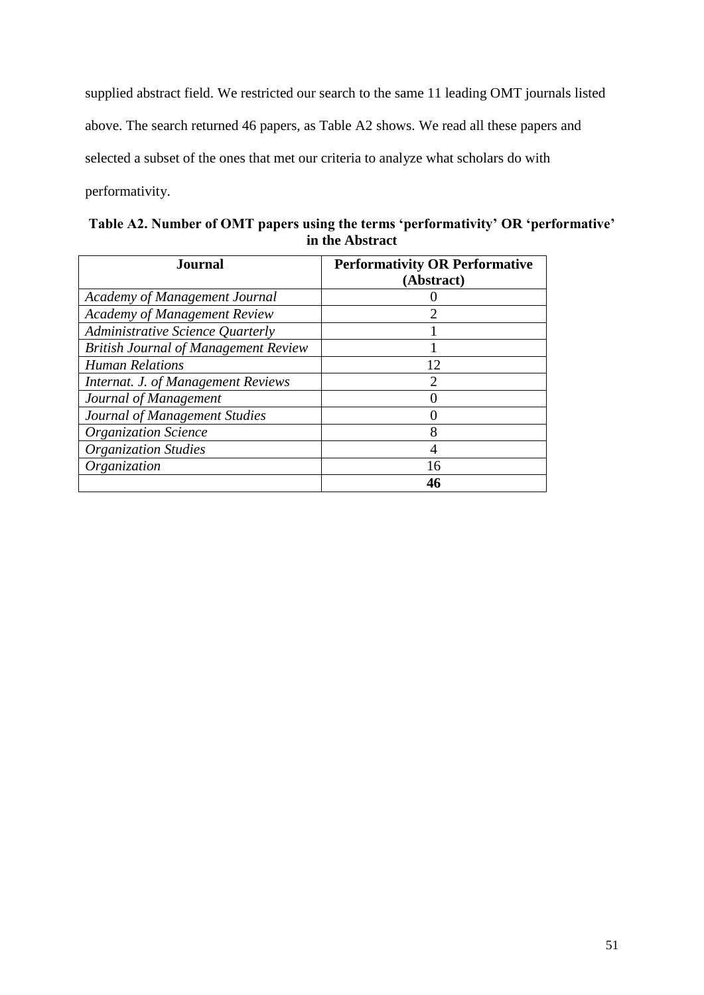supplied abstract field. We restricted our search to the same 11 leading OMT journals listed above. The search returned 46 papers, as Table A2 shows. We read all these papers and selected a subset of the ones that met our criteria to analyze what scholars do with performativity.

| Table A2. Number of OMT papers using the terms 'performativity' OR 'performative' |  |
|-----------------------------------------------------------------------------------|--|
| in the Abstract                                                                   |  |

| <b>Journal</b>                              | <b>Performativity OR Performative</b><br>(Abstract) |
|---------------------------------------------|-----------------------------------------------------|
| <b>Academy of Management Journal</b>        |                                                     |
| <b>Academy of Management Review</b>         | $\mathcal{D}_{\mathcal{A}}$                         |
| Administrative Science Quarterly            |                                                     |
| <b>British Journal of Management Review</b> |                                                     |
| <b>Human Relations</b>                      | 12                                                  |
| Internat. J. of Management Reviews          | $\mathcal{D}_{\mathcal{L}}$                         |
| Journal of Management                       |                                                     |
| Journal of Management Studies               |                                                     |
| <b>Organization Science</b>                 | 8                                                   |
| <b>Organization Studies</b>                 |                                                     |
| Organization                                | 16                                                  |
|                                             |                                                     |